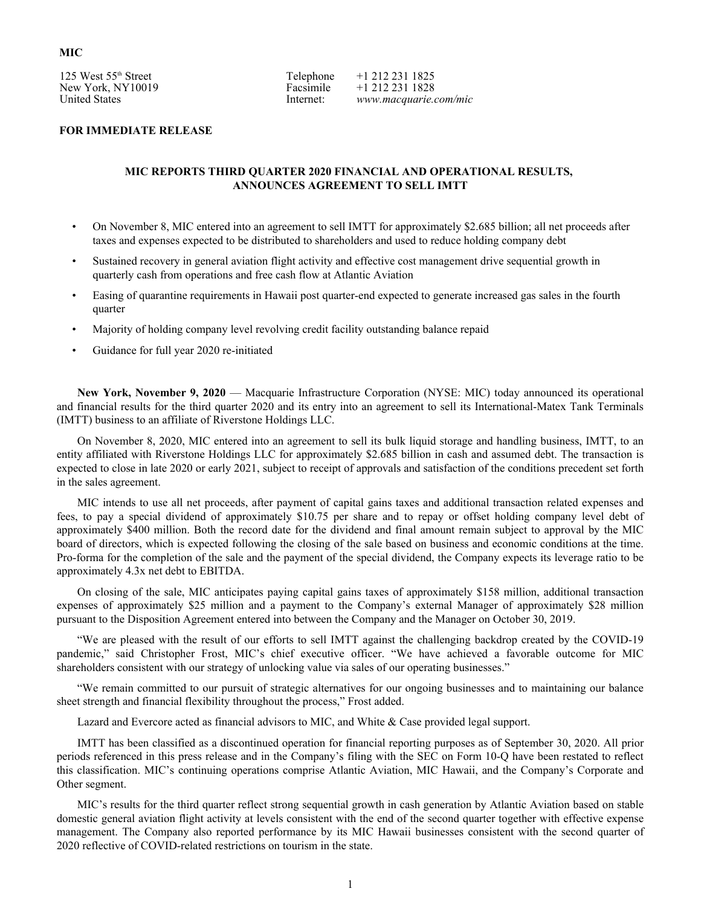## **MIC**

125 West 55th Street New York, NY10019 United States

Telephone Facsimile Internet:

+1 212 231 1825 +1 212 231 1828 *www.macquarie.com/mic*

#### **FOR IMMEDIATE RELEASE**

#### **MIC REPORTS THIRD QUARTER 2020 FINANCIAL AND OPERATIONAL RESULTS, ANNOUNCES AGREEMENT TO SELL IMTT**

- On November 8, MIC entered into an agreement to sell IMTT for approximately \$2.685 billion; all net proceeds after taxes and expenses expected to be distributed to shareholders and used to reduce holding company debt
- Sustained recovery in general aviation flight activity and effective cost management drive sequential growth in quarterly cash from operations and free cash flow at Atlantic Aviation
- Easing of quarantine requirements in Hawaii post quarter-end expected to generate increased gas sales in the fourth quarter
- Majority of holding company level revolving credit facility outstanding balance repaid
- Guidance for full year 2020 re-initiated

**New York, November 9, 2020** — Macquarie Infrastructure Corporation (NYSE: MIC) today announced its operational and financial results for the third quarter 2020 and its entry into an agreement to sell its International-Matex Tank Terminals (IMTT) business to an affiliate of Riverstone Holdings LLC.

On November 8, 2020, MIC entered into an agreement to sell its bulk liquid storage and handling business, IMTT, to an entity affiliated with Riverstone Holdings LLC for approximately \$2.685 billion in cash and assumed debt. The transaction is expected to close in late 2020 or early 2021, subject to receipt of approvals and satisfaction of the conditions precedent set forth in the sales agreement.

MIC intends to use all net proceeds, after payment of capital gains taxes and additional transaction related expenses and fees, to pay a special dividend of approximately \$10.75 per share and to repay or offset holding company level debt of approximately \$400 million. Both the record date for the dividend and final amount remain subject to approval by the MIC board of directors, which is expected following the closing of the sale based on business and economic conditions at the time. Pro-forma for the completion of the sale and the payment of the special dividend, the Company expects its leverage ratio to be approximately 4.3x net debt to EBITDA.

On closing of the sale, MIC anticipates paying capital gains taxes of approximately \$158 million, additional transaction expenses of approximately \$25 million and a payment to the Company's external Manager of approximately \$28 million pursuant to the Disposition Agreement entered into between the Company and the Manager on October 30, 2019.

"We are pleased with the result of our efforts to sell IMTT against the challenging backdrop created by the COVID-19 pandemic," said Christopher Frost, MIC's chief executive officer. "We have achieved a favorable outcome for MIC shareholders consistent with our strategy of unlocking value via sales of our operating businesses."

"We remain committed to our pursuit of strategic alternatives for our ongoing businesses and to maintaining our balance sheet strength and financial flexibility throughout the process," Frost added.

Lazard and Evercore acted as financial advisors to MIC, and White & Case provided legal support.

IMTT has been classified as a discontinued operation for financial reporting purposes as of September 30, 2020. All prior periods referenced in this press release and in the Company's filing with the SEC on Form 10-Q have been restated to reflect this classification. MIC's continuing operations comprise Atlantic Aviation, MIC Hawaii, and the Company's Corporate and Other segment.

MIC's results for the third quarter reflect strong sequential growth in cash generation by Atlantic Aviation based on stable domestic general aviation flight activity at levels consistent with the end of the second quarter together with effective expense management. The Company also reported performance by its MIC Hawaii businesses consistent with the second quarter of 2020 reflective of COVID-related restrictions on tourism in the state.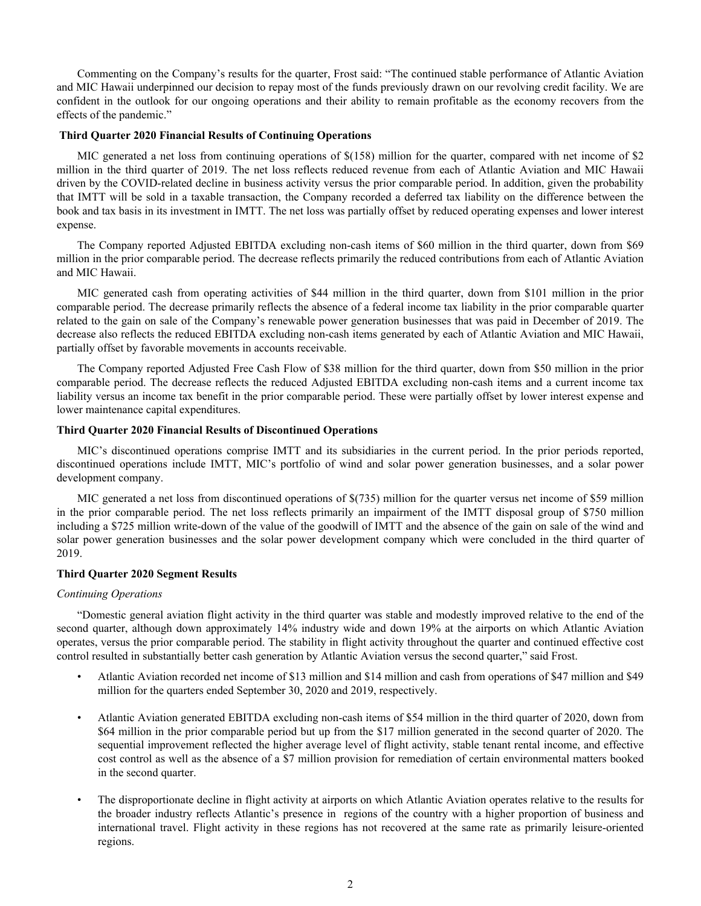Commenting on the Company's results for the quarter, Frost said: "The continued stable performance of Atlantic Aviation and MIC Hawaii underpinned our decision to repay most of the funds previously drawn on our revolving credit facility. We are confident in the outlook for our ongoing operations and their ability to remain profitable as the economy recovers from the effects of the pandemic."

#### **Third Quarter 2020 Financial Results of Continuing Operations**

MIC generated a net loss from continuing operations of \$(158) million for the quarter, compared with net income of \$2 million in the third quarter of 2019. The net loss reflects reduced revenue from each of Atlantic Aviation and MIC Hawaii driven by the COVID-related decline in business activity versus the prior comparable period. In addition, given the probability that IMTT will be sold in a taxable transaction, the Company recorded a deferred tax liability on the difference between the book and tax basis in its investment in IMTT. The net loss was partially offset by reduced operating expenses and lower interest expense.

The Company reported Adjusted EBITDA excluding non-cash items of \$60 million in the third quarter, down from \$69 million in the prior comparable period. The decrease reflects primarily the reduced contributions from each of Atlantic Aviation and MIC Hawaii.

MIC generated cash from operating activities of \$44 million in the third quarter, down from \$101 million in the prior comparable period. The decrease primarily reflects the absence of a federal income tax liability in the prior comparable quarter related to the gain on sale of the Company's renewable power generation businesses that was paid in December of 2019. The decrease also reflects the reduced EBITDA excluding non-cash items generated by each of Atlantic Aviation and MIC Hawaii, partially offset by favorable movements in accounts receivable.

The Company reported Adjusted Free Cash Flow of \$38 million for the third quarter, down from \$50 million in the prior comparable period. The decrease reflects the reduced Adjusted EBITDA excluding non-cash items and a current income tax liability versus an income tax benefit in the prior comparable period. These were partially offset by lower interest expense and lower maintenance capital expenditures.

#### **Third Quarter 2020 Financial Results of Discontinued Operations**

MIC's discontinued operations comprise IMTT and its subsidiaries in the current period. In the prior periods reported, discontinued operations include IMTT, MIC's portfolio of wind and solar power generation businesses, and a solar power development company.

MIC generated a net loss from discontinued operations of \$(735) million for the quarter versus net income of \$59 million in the prior comparable period. The net loss reflects primarily an impairment of the IMTT disposal group of \$750 million including a \$725 million write-down of the value of the goodwill of IMTT and the absence of the gain on sale of the wind and solar power generation businesses and the solar power development company which were concluded in the third quarter of 2019.

#### **Third Quarter 2020 Segment Results**

#### *Continuing Operations*

"Domestic general aviation flight activity in the third quarter was stable and modestly improved relative to the end of the second quarter, although down approximately 14% industry wide and down 19% at the airports on which Atlantic Aviation operates, versus the prior comparable period. The stability in flight activity throughout the quarter and continued effective cost control resulted in substantially better cash generation by Atlantic Aviation versus the second quarter," said Frost.

- Atlantic Aviation recorded net income of \$13 million and \$14 million and cash from operations of \$47 million and \$49 million for the quarters ended September 30, 2020 and 2019, respectively.
- Atlantic Aviation generated EBITDA excluding non-cash items of \$54 million in the third quarter of 2020, down from \$64 million in the prior comparable period but up from the \$17 million generated in the second quarter of 2020. The sequential improvement reflected the higher average level of flight activity, stable tenant rental income, and effective cost control as well as the absence of a \$7 million provision for remediation of certain environmental matters booked in the second quarter.
- The disproportionate decline in flight activity at airports on which Atlantic Aviation operates relative to the results for the broader industry reflects Atlantic's presence in regions of the country with a higher proportion of business and international travel. Flight activity in these regions has not recovered at the same rate as primarily leisure-oriented regions.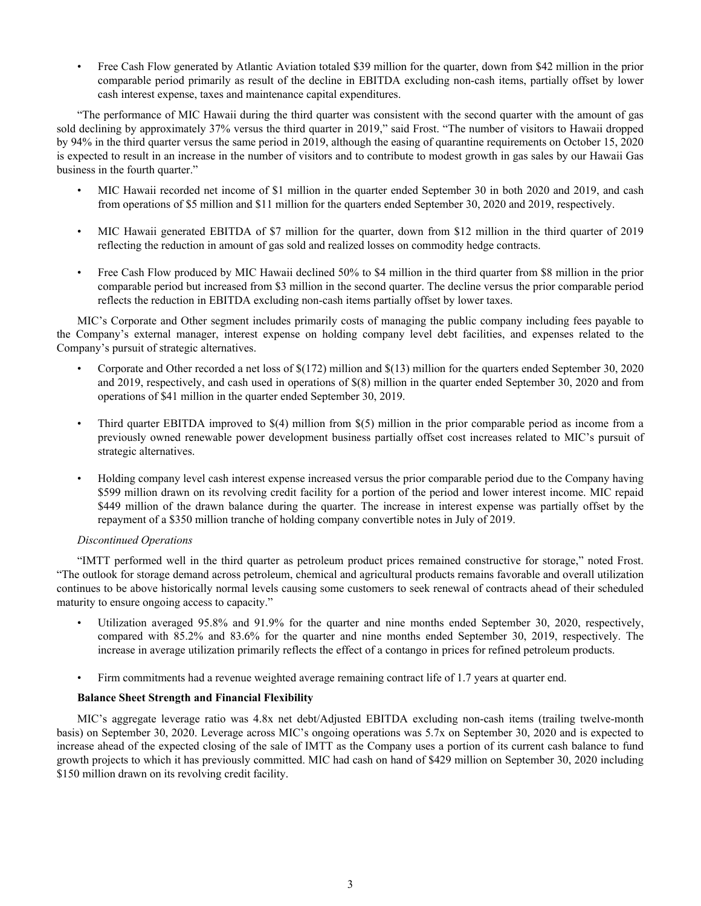• Free Cash Flow generated by Atlantic Aviation totaled \$39 million for the quarter, down from \$42 million in the prior comparable period primarily as result of the decline in EBITDA excluding non-cash items, partially offset by lower cash interest expense, taxes and maintenance capital expenditures.

"The performance of MIC Hawaii during the third quarter was consistent with the second quarter with the amount of gas sold declining by approximately 37% versus the third quarter in 2019," said Frost. "The number of visitors to Hawaii dropped by 94% in the third quarter versus the same period in 2019, although the easing of quarantine requirements on October 15, 2020 is expected to result in an increase in the number of visitors and to contribute to modest growth in gas sales by our Hawaii Gas business in the fourth quarter."

- MIC Hawaii recorded net income of \$1 million in the quarter ended September 30 in both 2020 and 2019, and cash from operations of \$5 million and \$11 million for the quarters ended September 30, 2020 and 2019, respectively.
- MIC Hawaii generated EBITDA of \$7 million for the quarter, down from \$12 million in the third quarter of 2019 reflecting the reduction in amount of gas sold and realized losses on commodity hedge contracts.
- Free Cash Flow produced by MIC Hawaii declined 50% to \$4 million in the third quarter from \$8 million in the prior comparable period but increased from \$3 million in the second quarter. The decline versus the prior comparable period reflects the reduction in EBITDA excluding non-cash items partially offset by lower taxes.

MIC's Corporate and Other segment includes primarily costs of managing the public company including fees payable to the Company's external manager, interest expense on holding company level debt facilities, and expenses related to the Company's pursuit of strategic alternatives.

- Corporate and Other recorded a net loss of \$(172) million and \$(13) million for the quarters ended September 30, 2020 and 2019, respectively, and cash used in operations of \$(8) million in the quarter ended September 30, 2020 and from operations of \$41 million in the quarter ended September 30, 2019.
- Third quarter EBITDA improved to \$(4) million from \$(5) million in the prior comparable period as income from a previously owned renewable power development business partially offset cost increases related to MIC's pursuit of strategic alternatives.
- Holding company level cash interest expense increased versus the prior comparable period due to the Company having \$599 million drawn on its revolving credit facility for a portion of the period and lower interest income. MIC repaid \$449 million of the drawn balance during the quarter. The increase in interest expense was partially offset by the repayment of a \$350 million tranche of holding company convertible notes in July of 2019.

### *Discontinued Operations*

"IMTT performed well in the third quarter as petroleum product prices remained constructive for storage," noted Frost. "The outlook for storage demand across petroleum, chemical and agricultural products remains favorable and overall utilization continues to be above historically normal levels causing some customers to seek renewal of contracts ahead of their scheduled maturity to ensure ongoing access to capacity."

- Utilization averaged 95.8% and 91.9% for the quarter and nine months ended September 30, 2020, respectively, compared with 85.2% and 83.6% for the quarter and nine months ended September 30, 2019, respectively. The increase in average utilization primarily reflects the effect of a contango in prices for refined petroleum products.
- Firm commitments had a revenue weighted average remaining contract life of 1.7 years at quarter end.

#### **Balance Sheet Strength and Financial Flexibility**

MIC's aggregate leverage ratio was 4.8x net debt/Adjusted EBITDA excluding non-cash items (trailing twelve-month basis) on September 30, 2020. Leverage across MIC's ongoing operations was 5.7x on September 30, 2020 and is expected to increase ahead of the expected closing of the sale of IMTT as the Company uses a portion of its current cash balance to fund growth projects to which it has previously committed. MIC had cash on hand of \$429 million on September 30, 2020 including \$150 million drawn on its revolving credit facility.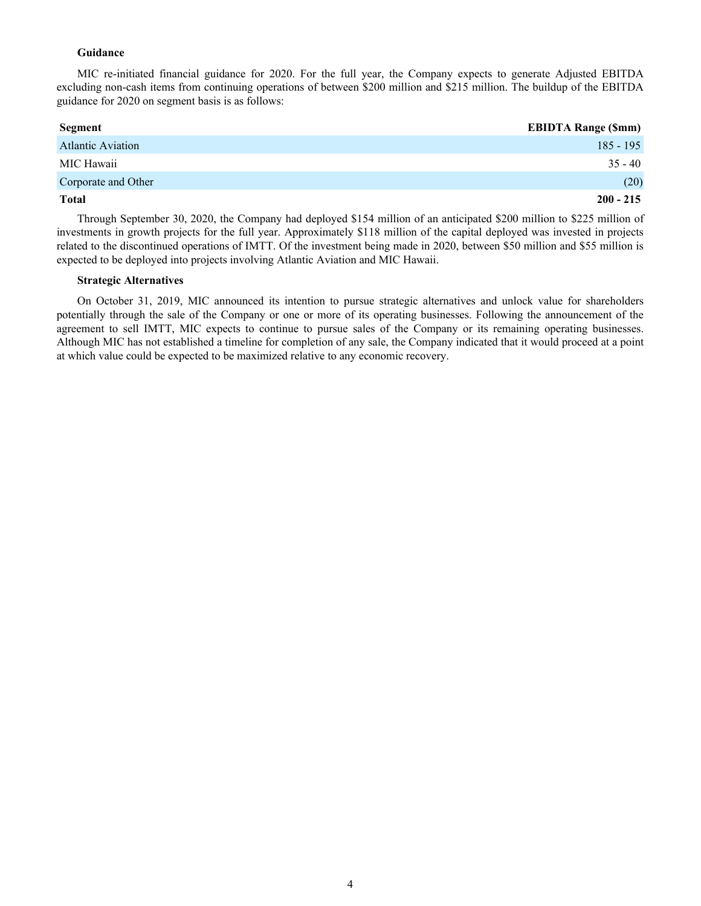#### **Guidance**

MIC re-initiated financial guidance for 2020. For the full year, the Company expects to generate Adjusted EBITDA excluding non-cash items from continuing operations of between \$200 million and \$215 million. The buildup of the EBITDA guidance for 2020 on segment basis is as follows:

| <b>Segment</b>           | <b>EBIDTA Range (\$mm)</b> |
|--------------------------|----------------------------|
| <b>Atlantic Aviation</b> | $185 - 195$                |
| MIC Hawaii               | $35 - 40$                  |
| Corporate and Other      | (20)                       |
| <b>Total</b>             | $200 - 215$                |

Through September 30, 2020, the Company had deployed \$154 million of an anticipated \$200 million to \$225 million of investments in growth projects for the full year. Approximately \$118 million of the capital deployed was invested in projects related to the discontinued operations of IMTT. Of the investment being made in 2020, between \$50 million and \$55 million is expected to be deployed into projects involving Atlantic Aviation and MIC Hawaii.

#### **Strategic Alternatives**

On October 31, 2019, MIC announced its intention to pursue strategic alternatives and unlock value for shareholders potentially through the sale of the Company or one or more of its operating businesses. Following the announcement of the agreement to sell IMTT, MIC expects to continue to pursue sales of the Company or its remaining operating businesses. Although MIC has not established a timeline for completion of any sale, the Company indicated that it would proceed at a point at which value could be expected to be maximized relative to any economic recovery.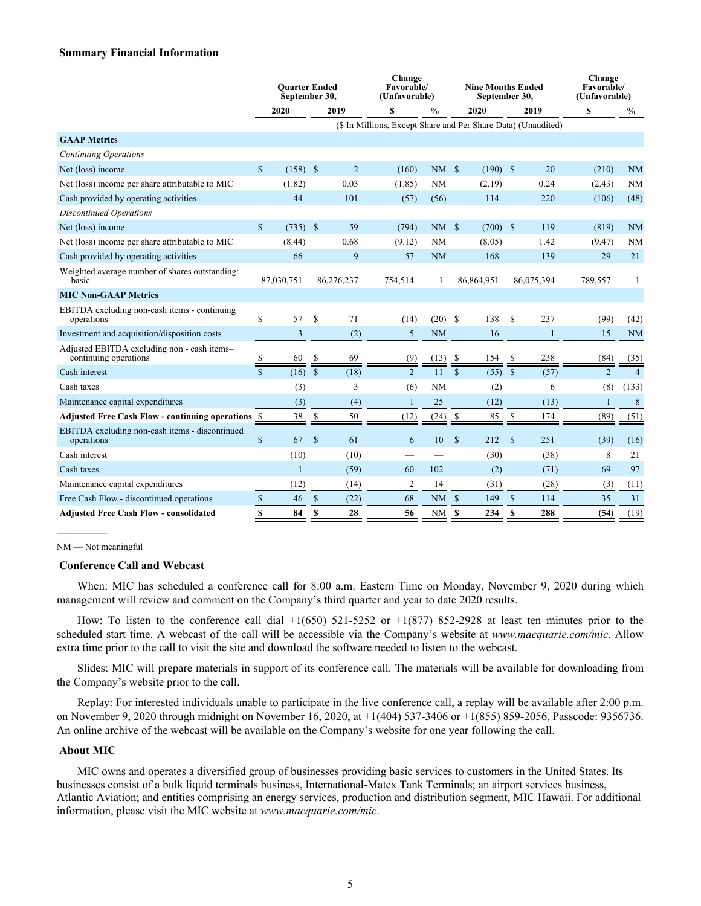#### **Summary Financial Information**

|                                                                      |                    | <b>Ouarter Ended</b><br>September 30, |              |                | Change<br><b>Favorable/</b><br>(Unfavorable)                  |               |               | <b>Nine Months Ended</b><br>September 30, | Change<br>Favorable/<br>(Unfavorable) |            |                |                |
|----------------------------------------------------------------------|--------------------|---------------------------------------|--------------|----------------|---------------------------------------------------------------|---------------|---------------|-------------------------------------------|---------------------------------------|------------|----------------|----------------|
|                                                                      |                    | 2020                                  |              | 2019           | \$                                                            | $\frac{0}{0}$ |               | 2020                                      |                                       | 2019       | S              | $\frac{6}{10}$ |
|                                                                      |                    |                                       |              |                | (\$ In Millions, Except Share and Per Share Data) (Unaudited) |               |               |                                           |                                       |            |                |                |
| <b>GAAP Metrics</b>                                                  |                    |                                       |              |                |                                                               |               |               |                                           |                                       |            |                |                |
| Continuing Operations                                                |                    |                                       |              |                |                                                               |               |               |                                           |                                       |            |                |                |
| Net (loss) income                                                    | $\mathbb{S}$       | $(158)$ \$                            |              | $\overline{2}$ | (160)                                                         | NMS           |               | $(190)$ \$                                |                                       | 20         | (210)          | <b>NM</b>      |
| Net (loss) income per share attributable to MIC                      |                    | (1.82)                                |              | 0.03           | (1.85)                                                        | <b>NM</b>     |               | (2.19)                                    |                                       | 0.24       | (2.43)         | <b>NM</b>      |
| Cash provided by operating activities                                |                    | 44                                    |              | 101            | (57)                                                          | (56)          |               | 114                                       |                                       | 220        | (106)          | (48)           |
| <b>Discontinued Operations</b>                                       |                    |                                       |              |                |                                                               |               |               |                                           |                                       |            |                |                |
| Net (loss) income                                                    | $\mathbf S$        | $(735)$ \$                            |              | 59             | (794)                                                         | NMS           |               | $(700)$ \$                                |                                       | 119        | (819)          | <b>NM</b>      |
| Net (loss) income per share attributable to MIC                      |                    | (8.44)                                |              | 0.68           | (9.12)                                                        | NM            |               | (8.05)                                    |                                       | 1.42       | (9.47)         | <b>NM</b>      |
| Cash provided by operating activities                                |                    | 66                                    |              | 9              | 57                                                            | <b>NM</b>     |               | 168                                       |                                       | 139        | 29             | 21             |
| Weighted average number of shares outstanding:<br>basic              |                    | 87,030,751                            |              | 86,276,237     | 754,514                                                       | 1             |               | 86,864,951                                |                                       | 86,075,394 | 789,557        |                |
| <b>MIC Non-GAAP Metrics</b>                                          |                    |                                       |              |                |                                                               |               |               |                                           |                                       |            |                |                |
| EBITDA excluding non-cash items - continuing<br>operations           | \$                 | 57                                    | $\mathbf S$  | 71             | (14)                                                          | $(20)$ \$     |               | 138                                       | S                                     | 237        | (99)           | (42)           |
| Investment and acquisition/disposition costs                         |                    | 3                                     |              | (2)            | 5                                                             | <b>NM</b>     |               | 16                                        |                                       | 1          | 15             | <b>NM</b>      |
| Adjusted EBITDA excluding non - cash items-<br>continuing operations |                    | 60                                    | S            | 69             | (9)                                                           | (13)          |               | 154                                       | \$                                    | 238        | (84)           | (35)           |
| Cash interest                                                        | $\mathbf{\hat{s}}$ | (16)                                  | $\mathbb{S}$ | (18)           | $\overline{2}$                                                | 11            | $\mathbf S$   | (55)                                      | $\mathcal{S}$                         | (57)       | $\overline{2}$ | $\overline{4}$ |
| Cash taxes                                                           |                    | (3)                                   |              | 3              | (6)                                                           | <b>NM</b>     |               | (2)                                       |                                       | 6          | (8)            | (133)          |
| Maintenance capital expenditures                                     |                    | (3)                                   |              | (4)            | 1                                                             | 25            |               | (12)                                      |                                       | (13)       | $\mathbf{1}$   | 8              |
| <b>Adjusted Free Cash Flow - continuing operations \$</b>            |                    | 38                                    | -S           | 50             | (12)                                                          | (24)          | <sup>\$</sup> | 85                                        | \$                                    | 174        | (89)           | (51)           |
| EBITDA excluding non-cash items - discontinued<br>operations         | $\mathbf S$        | 67                                    | $\mathbf{s}$ | 61             | 6                                                             | 10            | -S            | 212                                       | $\mathbf{s}$                          | 251        | (39)           | (16)           |
| Cash interest                                                        |                    | (10)                                  |              | (10)           |                                                               |               |               | (30)                                      |                                       | (38)       | 8              | 21             |
| Cash taxes                                                           |                    | 1                                     |              | (59)           | 60                                                            | 102           |               | (2)                                       |                                       | (71)       | 69             | 97             |
| Maintenance capital expenditures                                     |                    | (12)                                  |              | (14)           | 2                                                             | 14            |               | (31)                                      |                                       | (28)       | (3)            | (11)           |
| Free Cash Flow - discontinued operations                             | $\mathbf S$        | 46                                    | $\mathbb{S}$ | (22)           | 68                                                            | $NM$ \$       |               | 149                                       | $\mathbf{s}$                          | 114        | 35             | 31             |
| <b>Adjusted Free Cash Flow - consolidated</b>                        | <b>S</b>           | 84                                    | \$           | 28             | 56                                                            | NM            | - \$          | 234                                       | \$                                    | 288        | (54)           | (19)           |

NM — Not meaningful

 $\overline{\phantom{a}}$ 

#### **Conference Call and Webcast**

When: MIC has scheduled a conference call for 8:00 a.m. Eastern Time on Monday, November 9, 2020 during which management will review and comment on the Company's third quarter and year to date 2020 results.

How: To listen to the conference call dial  $+1(650)$  521-5252 or  $+1(877)$  852-2928 at least ten minutes prior to the scheduled start time. A webcast of the call will be accessible via the Company's website at *www.macquarie.com/mic*. Allow extra time prior to the call to visit the site and download the software needed to listen to the webcast.

Slides: MIC will prepare materials in support of its conference call. The materials will be available for downloading from the Company's website prior to the call.

Replay: For interested individuals unable to participate in the live conference call, a replay will be available after 2:00 p.m. on November 9, 2020 through midnight on November 16, 2020, at +1(404) 537-3406 or +1(855) 859-2056, Passcode: 9356736. An online archive of the webcast will be available on the Company's website for one year following the call.

#### **About MIC**

MIC owns and operates a diversified group of businesses providing basic services to customers in the United States. Its businesses consist of a bulk liquid terminals business, International-Matex Tank Terminals; an airport services business, Atlantic Aviation; and entities comprising an energy services, production and distribution segment, MIC Hawaii. For additional information, please visit the MIC website at *www.macquarie.com/mic*.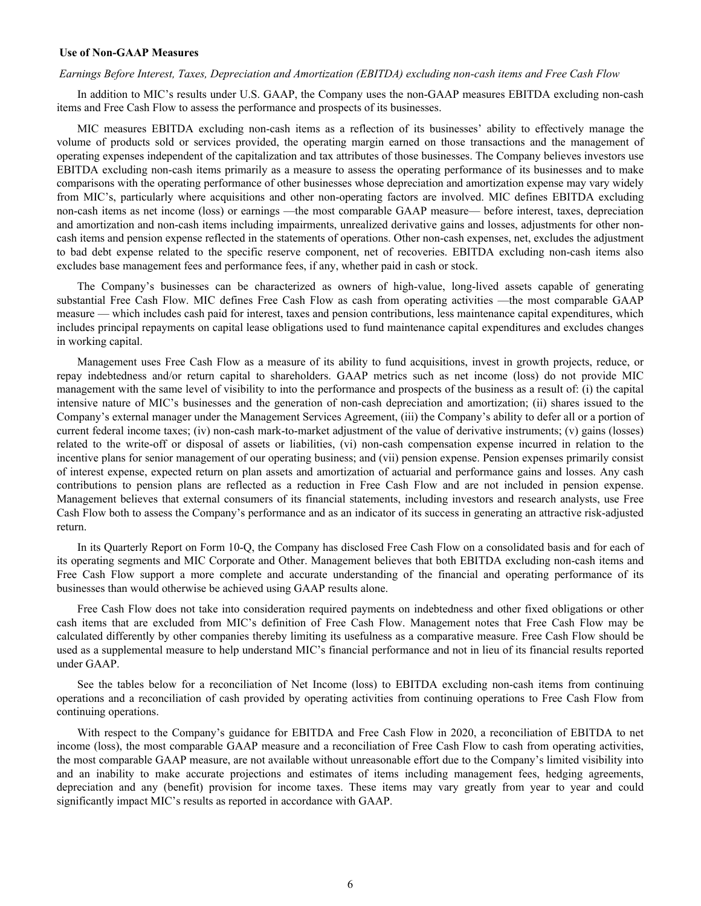#### **Use of Non-GAAP Measures**

#### *Earnings Before Interest, Taxes, Depreciation and Amortization (EBITDA) excluding non-cash items and Free Cash Flow*

In addition to MIC's results under U.S. GAAP, the Company uses the non-GAAP measures EBITDA excluding non-cash items and Free Cash Flow to assess the performance and prospects of its businesses.

MIC measures EBITDA excluding non-cash items as a reflection of its businesses' ability to effectively manage the volume of products sold or services provided, the operating margin earned on those transactions and the management of operating expenses independent of the capitalization and tax attributes of those businesses. The Company believes investors use EBITDA excluding non-cash items primarily as a measure to assess the operating performance of its businesses and to make comparisons with the operating performance of other businesses whose depreciation and amortization expense may vary widely from MIC's, particularly where acquisitions and other non-operating factors are involved. MIC defines EBITDA excluding non-cash items as net income (loss) or earnings —the most comparable GAAP measure— before interest, taxes, depreciation and amortization and non-cash items including impairments, unrealized derivative gains and losses, adjustments for other noncash items and pension expense reflected in the statements of operations. Other non-cash expenses, net, excludes the adjustment to bad debt expense related to the specific reserve component, net of recoveries. EBITDA excluding non-cash items also excludes base management fees and performance fees, if any, whether paid in cash or stock.

The Company's businesses can be characterized as owners of high-value, long-lived assets capable of generating substantial Free Cash Flow. MIC defines Free Cash Flow as cash from operating activities —the most comparable GAAP measure — which includes cash paid for interest, taxes and pension contributions, less maintenance capital expenditures, which includes principal repayments on capital lease obligations used to fund maintenance capital expenditures and excludes changes in working capital.

Management uses Free Cash Flow as a measure of its ability to fund acquisitions, invest in growth projects, reduce, or repay indebtedness and/or return capital to shareholders. GAAP metrics such as net income (loss) do not provide MIC management with the same level of visibility to into the performance and prospects of the business as a result of: (i) the capital intensive nature of MIC's businesses and the generation of non-cash depreciation and amortization; (ii) shares issued to the Company's external manager under the Management Services Agreement, (iii) the Company's ability to defer all or a portion of current federal income taxes; (iv) non-cash mark-to-market adjustment of the value of derivative instruments; (v) gains (losses) related to the write-off or disposal of assets or liabilities, (vi) non-cash compensation expense incurred in relation to the incentive plans for senior management of our operating business; and (vii) pension expense. Pension expenses primarily consist of interest expense, expected return on plan assets and amortization of actuarial and performance gains and losses. Any cash contributions to pension plans are reflected as a reduction in Free Cash Flow and are not included in pension expense. Management believes that external consumers of its financial statements, including investors and research analysts, use Free Cash Flow both to assess the Company's performance and as an indicator of its success in generating an attractive risk-adjusted return.

In its Quarterly Report on Form 10-Q, the Company has disclosed Free Cash Flow on a consolidated basis and for each of its operating segments and MIC Corporate and Other. Management believes that both EBITDA excluding non-cash items and Free Cash Flow support a more complete and accurate understanding of the financial and operating performance of its businesses than would otherwise be achieved using GAAP results alone.

Free Cash Flow does not take into consideration required payments on indebtedness and other fixed obligations or other cash items that are excluded from MIC's definition of Free Cash Flow. Management notes that Free Cash Flow may be calculated differently by other companies thereby limiting its usefulness as a comparative measure. Free Cash Flow should be used as a supplemental measure to help understand MIC's financial performance and not in lieu of its financial results reported under GAAP.

See the tables below for a reconciliation of Net Income (loss) to EBITDA excluding non-cash items from continuing operations and a reconciliation of cash provided by operating activities from continuing operations to Free Cash Flow from continuing operations.

With respect to the Company's guidance for EBITDA and Free Cash Flow in 2020, a reconciliation of EBITDA to net income (loss), the most comparable GAAP measure and a reconciliation of Free Cash Flow to cash from operating activities, the most comparable GAAP measure, are not available without unreasonable effort due to the Company's limited visibility into and an inability to make accurate projections and estimates of items including management fees, hedging agreements, depreciation and any (benefit) provision for income taxes. These items may vary greatly from year to year and could significantly impact MIC's results as reported in accordance with GAAP.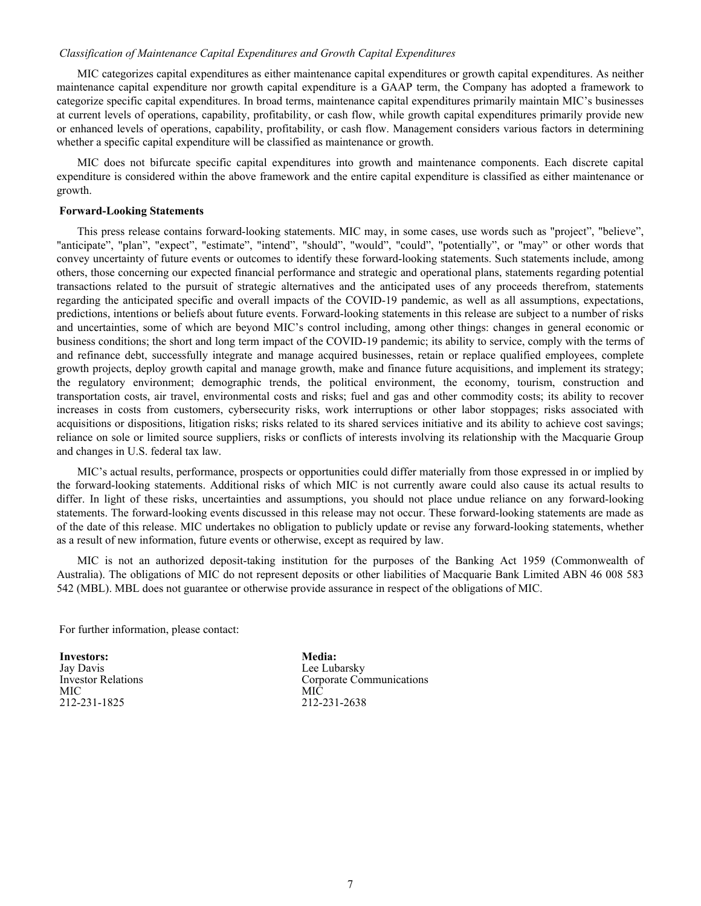#### *Classification of Maintenance Capital Expenditures and Growth Capital Expenditures*

MIC categorizes capital expenditures as either maintenance capital expenditures or growth capital expenditures. As neither maintenance capital expenditure nor growth capital expenditure is a GAAP term, the Company has adopted a framework to categorize specific capital expenditures. In broad terms, maintenance capital expenditures primarily maintain MIC's businesses at current levels of operations, capability, profitability, or cash flow, while growth capital expenditures primarily provide new or enhanced levels of operations, capability, profitability, or cash flow. Management considers various factors in determining whether a specific capital expenditure will be classified as maintenance or growth.

MIC does not bifurcate specific capital expenditures into growth and maintenance components. Each discrete capital expenditure is considered within the above framework and the entire capital expenditure is classified as either maintenance or growth.

#### **Forward-Looking Statements**

This press release contains forward-looking statements. MIC may, in some cases, use words such as "project", "believe", "anticipate", "plan", "expect", "estimate", "intend", "should", "would", "could", "potentially", or "may" or other words that convey uncertainty of future events or outcomes to identify these forward-looking statements. Such statements include, among others, those concerning our expected financial performance and strategic and operational plans, statements regarding potential transactions related to the pursuit of strategic alternatives and the anticipated uses of any proceeds therefrom, statements regarding the anticipated specific and overall impacts of the COVID-19 pandemic, as well as all assumptions, expectations, predictions, intentions or beliefs about future events. Forward-looking statements in this release are subject to a number of risks and uncertainties, some of which are beyond MIC's control including, among other things: changes in general economic or business conditions; the short and long term impact of the COVID-19 pandemic; its ability to service, comply with the terms of and refinance debt, successfully integrate and manage acquired businesses, retain or replace qualified employees, complete growth projects, deploy growth capital and manage growth, make and finance future acquisitions, and implement its strategy; the regulatory environment; demographic trends, the political environment, the economy, tourism, construction and transportation costs, air travel, environmental costs and risks; fuel and gas and other commodity costs; its ability to recover increases in costs from customers, cybersecurity risks, work interruptions or other labor stoppages; risks associated with acquisitions or dispositions, litigation risks; risks related to its shared services initiative and its ability to achieve cost savings; reliance on sole or limited source suppliers, risks or conflicts of interests involving its relationship with the Macquarie Group and changes in U.S. federal tax law.

MIC's actual results, performance, prospects or opportunities could differ materially from those expressed in or implied by the forward-looking statements. Additional risks of which MIC is not currently aware could also cause its actual results to differ. In light of these risks, uncertainties and assumptions, you should not place undue reliance on any forward-looking statements. The forward-looking events discussed in this release may not occur. These forward-looking statements are made as of the date of this release. MIC undertakes no obligation to publicly update or revise any forward-looking statements, whether as a result of new information, future events or otherwise, except as required by law.

MIC is not an authorized deposit-taking institution for the purposes of the Banking Act 1959 (Commonwealth of Australia). The obligations of MIC do not represent deposits or other liabilities of Macquarie Bank Limited ABN 46 008 583 542 (MBL). MBL does not guarantee or otherwise provide assurance in respect of the obligations of MIC.

For further information, please contact:

**Investors:** Jay Davis Investor Relations MIC 212-231-1825

**Media:** Lee Lubarsky Corporate Communications MIC 212-231-2638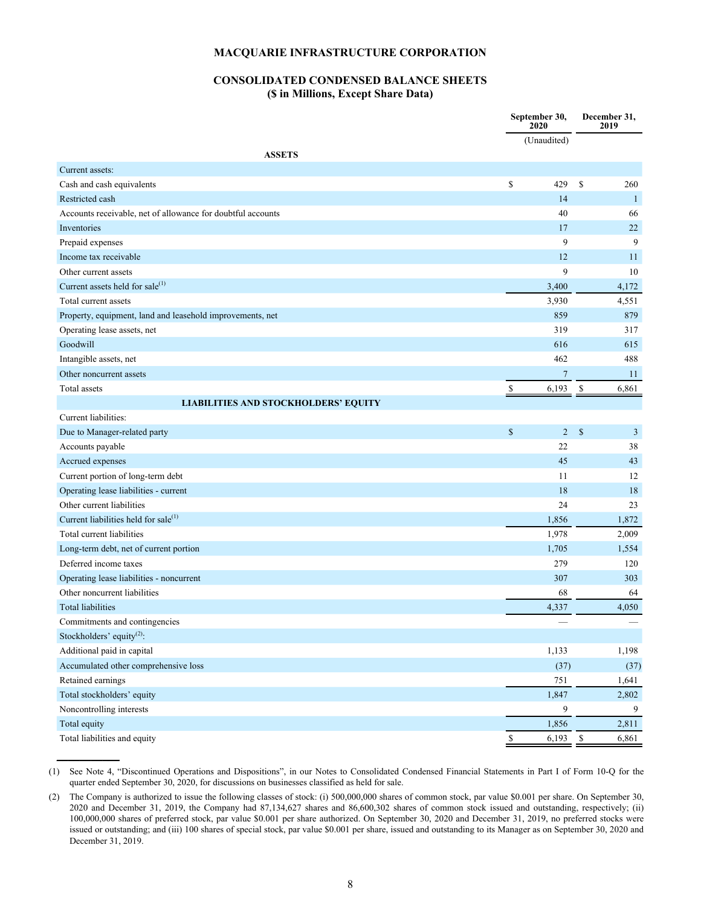## **CONSOLIDATED CONDENSED BALANCE SHEETS (\$ in Millions, Except Share Data)**

|                                                             |                          | September 30,<br>2020 | December 31,<br>2019     |              |
|-------------------------------------------------------------|--------------------------|-----------------------|--------------------------|--------------|
|                                                             |                          | (Unaudited)           |                          |              |
| <b>ASSETS</b>                                               |                          |                       |                          |              |
| Current assets:                                             |                          |                       |                          |              |
| Cash and cash equivalents                                   | \$                       | 429                   | \$                       | 260          |
| Restricted cash                                             |                          | 14                    |                          | $\mathbf{1}$ |
| Accounts receivable, net of allowance for doubtful accounts |                          | 40                    |                          | 66           |
| Inventories                                                 |                          | 17                    |                          | 22           |
| Prepaid expenses                                            |                          | 9                     |                          | 9            |
| Income tax receivable                                       |                          | 12                    |                          | 11           |
| Other current assets                                        |                          | 9                     |                          | 10           |
| Current assets held for sale <sup>(1)</sup>                 |                          | 3,400                 |                          | 4,172        |
| Total current assets                                        |                          | 3,930                 |                          | 4,551        |
| Property, equipment, land and leasehold improvements, net   |                          | 859                   |                          | 879          |
| Operating lease assets, net                                 |                          | 319                   |                          | 317          |
| Goodwill                                                    |                          | 616                   |                          | 615          |
| Intangible assets, net                                      |                          | 462                   |                          | 488          |
| Other noncurrent assets                                     |                          | $\overline{7}$        |                          | 11           |
| Total assets                                                | $\overline{\mathcal{E}}$ | 6,193                 | $\overline{\mathcal{L}}$ | 6,861        |
| <b>LIABILITIES AND STOCKHOLDERS' EQUITY</b>                 |                          |                       |                          |              |
| Current liabilities:                                        |                          |                       |                          |              |
| Due to Manager-related party                                | $\mathbb{S}$             | $\overline{2}$        | \$                       | $\mathbf{3}$ |
| Accounts payable                                            |                          | 22                    |                          | 38           |
| Accrued expenses                                            |                          | 45                    |                          | 43           |
| Current portion of long-term debt                           |                          | 11                    |                          | 12           |
| Operating lease liabilities - current                       |                          | 18                    |                          | 18           |
| Other current liabilities                                   |                          | 24                    |                          | 23           |
| Current liabilities held for sale <sup>(1)</sup>            |                          | 1,856                 |                          | 1,872        |
| Total current liabilities                                   |                          | 1,978                 |                          | 2,009        |
| Long-term debt, net of current portion                      |                          | 1,705                 |                          | 1,554        |
| Deferred income taxes                                       |                          | 279                   |                          | 120          |
| Operating lease liabilities - noncurrent                    |                          | 307                   |                          | 303          |
| Other noncurrent liabilities                                |                          | 68                    |                          | 64           |
| <b>Total liabilities</b>                                    |                          | 4,337                 |                          | 4,050        |
| Commitments and contingencies                               |                          |                       |                          |              |
| Stockholders' equity <sup>(2)</sup> :                       |                          |                       |                          |              |
| Additional paid in capital                                  |                          | 1,133                 |                          | 1,198        |
| Accumulated other comprehensive loss                        |                          | (37)                  |                          | (37)         |
| Retained earnings                                           |                          | 751                   |                          | 1,641        |
| Total stockholders' equity                                  |                          | 1,847                 |                          | 2,802        |
| Noncontrolling interests                                    |                          | 9                     |                          | 9            |
| Total equity                                                |                          | 1,856                 |                          | 2,811        |
| Total liabilities and equity                                | \$                       | 6,193                 | - \$                     | 6,861        |

(1) See Note 4, "Discontinued Operations and Dispositions", in our Notes to Consolidated Condensed Financial Statements in Part I of Form 10-Q for the quarter ended September 30, 2020, for discussions on businesses classified as held for sale.

**\_\_\_\_\_\_\_\_\_\_\_**

<sup>(2)</sup> The Company is authorized to issue the following classes of stock: (i) 500,000,000 shares of common stock, par value \$0.001 per share. On September 30, 2020 and December 31, 2019, the Company had 87,134,627 shares and 86,600,302 shares of common stock issued and outstanding, respectively; (ii) 100,000,000 shares of preferred stock, par value \$0.001 per share authorized. On September 30, 2020 and December 31, 2019, no preferred stocks were issued or outstanding; and (iii) 100 shares of special stock, par value \$0.001 per share, issued and outstanding to its Manager as on September 30, 2020 and December 31, 2019.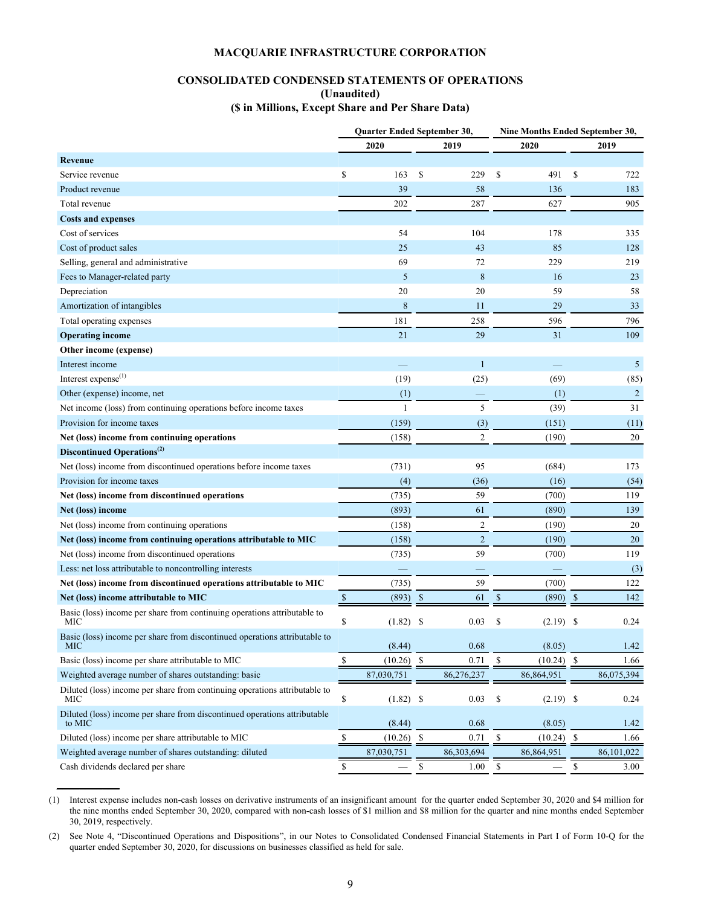## **CONSOLIDATED CONDENSED STATEMENTS OF OPERATIONS (Unaudited) (\$ in Millions, Except Share and Per Share Data)**

|                                                                                     |               | Quarter Ended September 30, |               |                |                           | Nine Months Ended September 30, |    |                |
|-------------------------------------------------------------------------------------|---------------|-----------------------------|---------------|----------------|---------------------------|---------------------------------|----|----------------|
|                                                                                     |               | 2020                        |               | 2019           |                           | 2020                            |    | 2019           |
| Revenue                                                                             |               |                             |               |                |                           |                                 |    |                |
| Service revenue                                                                     | \$            | 163                         | S             | 229            | \$                        | 491                             | \$ | 722            |
| Product revenue                                                                     |               | 39                          |               | 58             |                           | 136                             |    | 183            |
| Total revenue                                                                       |               | 202                         |               | 287            |                           | 627                             |    | 905            |
| <b>Costs and expenses</b>                                                           |               |                             |               |                |                           |                                 |    |                |
| Cost of services                                                                    |               | 54                          |               | 104            |                           | 178                             |    | 335            |
| Cost of product sales                                                               |               | 25                          |               | 43             |                           | 85                              |    | 128            |
| Selling, general and administrative                                                 |               | 69                          |               | 72             |                           | 229                             |    | 219            |
| Fees to Manager-related party                                                       |               | 5                           |               | 8              |                           | 16                              |    | 23             |
| Depreciation                                                                        |               | 20                          |               | 20             |                           | 59                              |    | 58             |
| Amortization of intangibles                                                         |               | 8                           |               | 11             |                           | 29                              |    | 33             |
| Total operating expenses                                                            |               | 181                         |               | 258            |                           | 596                             |    | 796            |
| <b>Operating income</b>                                                             |               | 21                          |               | 29             |                           | 31                              |    | 109            |
| Other income (expense)                                                              |               |                             |               |                |                           |                                 |    |                |
| Interest income                                                                     |               |                             |               | 1              |                           |                                 |    | 5              |
| Interest expense <sup>(1)</sup>                                                     |               | (19)                        |               | (25)           |                           | (69)                            |    | (85)           |
| Other (expense) income, net                                                         |               | (1)                         |               |                |                           | (1)                             |    | $\overline{2}$ |
| Net income (loss) from continuing operations before income taxes                    |               | $\mathbf{1}$                |               | 5              |                           | (39)                            |    | 31             |
| Provision for income taxes                                                          |               | (159)                       |               | (3)            |                           | (151)                           |    | (11)           |
| Net (loss) income from continuing operations                                        |               | (158)                       |               | $\mathfrak{2}$ |                           | (190)                           |    | $20\,$         |
| Discontinued Operations <sup>(2)</sup>                                              |               |                             |               |                |                           |                                 |    |                |
| Net (loss) income from discontinued operations before income taxes                  |               | (731)                       |               | 95             |                           | (684)                           |    | 173            |
| Provision for income taxes                                                          |               | (4)                         |               | (36)           |                           | (16)                            |    | (54)           |
| Net (loss) income from discontinued operations                                      |               | (735)                       |               | 59             |                           | (700)                           |    | 119            |
| Net (loss) income                                                                   |               | (893)                       |               | 61             |                           | (890)                           |    | 139            |
| Net (loss) income from continuing operations                                        |               | (158)                       |               | $\overline{c}$ |                           | (190)                           |    | 20             |
| Net (loss) income from continuing operations attributable to MIC                    |               | (158)                       |               | $\overline{2}$ |                           | (190)                           |    | 20             |
| Net (loss) income from discontinued operations                                      |               | (735)                       |               | 59             |                           | (700)                           |    | 119            |
| Less: net loss attributable to noncontrolling interests                             |               |                             |               |                |                           |                                 |    | (3)            |
| Net (loss) income from discontinued operations attributable to MIC                  |               | (735)                       |               | 59             |                           | (700)                           |    | 122            |
| Net (loss) income attributable to MIC                                               | $\mathbb{S}$  | (893)                       | <sup>\$</sup> | 61             | \$                        | (890)                           | -S | 142            |
| Basic (loss) income per share from continuing operations attributable to<br>MIC     | \$            | (1.82)                      | \$            | 0.03           | \$                        | $(2.19)$ \$                     |    | 0.24           |
| Basic (loss) income per share from discontinued operations attributable to<br>MIC   |               | (8.44)                      |               | 0.68           |                           | (8.05)                          |    | 1.42           |
| Basic (loss) income per share attributable to MIC                                   | \$            | (10.26)                     | -S            | 0.71           | $\mathbb S$               | $(10.24)$ \$                    |    | 1.66           |
| Weighted average number of shares outstanding: basic                                |               | 87,030,751                  |               | 86,276,237     |                           | 86,864,951                      |    | 86,075,394     |
| Diluted (loss) income per share from continuing operations attributable to<br>MIC   | \$            | $(1.82)$ \$                 |               | 0.03           | \$                        | $(2.19)$ \$                     |    | 0.24           |
| Diluted (loss) income per share from discontinued operations attributable<br>to MIC |               | (8.44)                      |               | 0.68           |                           | (8.05)                          |    | 1.42           |
| Diluted (loss) income per share attributable to MIC                                 | $\frac{1}{2}$ | (10.26)                     | S,            | 0.71           | $\boldsymbol{\mathsf{S}}$ | $(10.24)$ \$                    |    | 1.66           |
| Weighted average number of shares outstanding: diluted                              |               | 87,030,751                  |               | 86,303,694     |                           | 86,864,951                      |    | 86,101,022     |
| Cash dividends declared per share                                                   | \$            |                             | <sup>\$</sup> | 1.00           | \$                        |                                 | \$ | 3.00           |

(1) Interest expense includes non-cash losses on derivative instruments of an insignificant amount for the quarter ended September 30, 2020 and \$4 million for the nine months ended September 30, 2020, compared with non-cash losses of \$1 million and \$8 million for the quarter and nine months ended September 30, 2019, respectively.

**\_\_\_\_\_\_\_\_\_\_\_**

(2) See Note 4, "Discontinued Operations and Dispositions", in our Notes to Consolidated Condensed Financial Statements in Part I of Form 10-Q for the quarter ended September 30, 2020, for discussions on businesses classified as held for sale.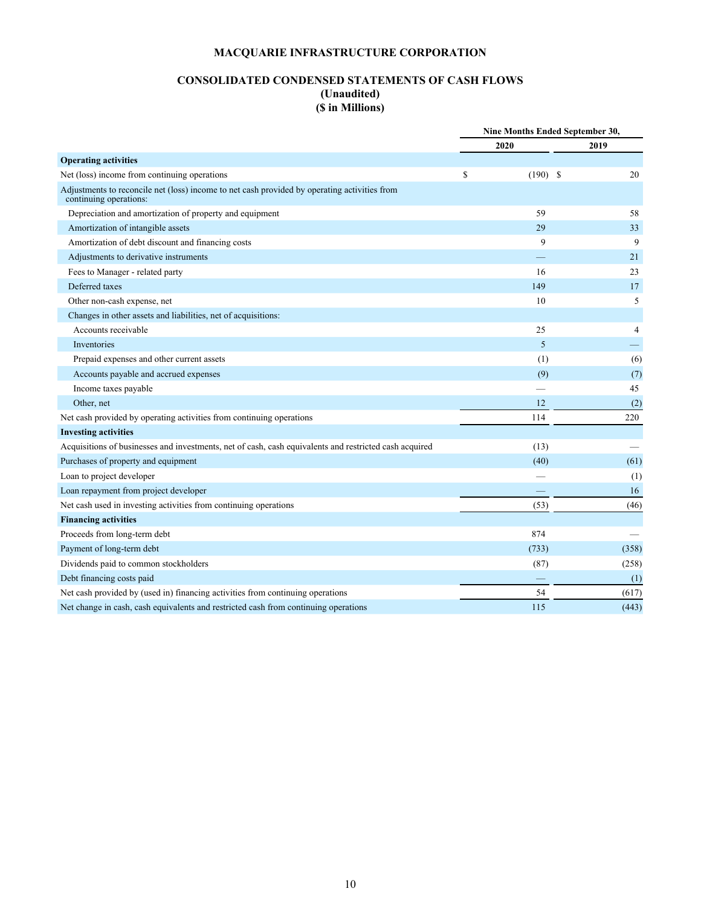# **CONSOLIDATED CONDENSED STATEMENTS OF CASH FLOWS (Unaudited) (\$ in Millions)**

|                                                                                                                        |   | Nine Months Ended September 30, |  |                |
|------------------------------------------------------------------------------------------------------------------------|---|---------------------------------|--|----------------|
|                                                                                                                        |   | 2020                            |  | 2019           |
| <b>Operating activities</b>                                                                                            |   |                                 |  |                |
| Net (loss) income from continuing operations                                                                           | S | $(190)$ \$                      |  | 20             |
| Adjustments to reconcile net (loss) income to net cash provided by operating activities from<br>continuing operations: |   |                                 |  |                |
| Depreciation and amortization of property and equipment                                                                |   | 59                              |  | 58             |
| Amortization of intangible assets                                                                                      |   | 29                              |  | 33             |
| Amortization of debt discount and financing costs                                                                      |   | 9                               |  | 9              |
| Adjustments to derivative instruments                                                                                  |   |                                 |  | 21             |
| Fees to Manager - related party                                                                                        |   | 16                              |  | 23             |
| Deferred taxes                                                                                                         |   | 149                             |  | 17             |
| Other non-cash expense, net                                                                                            |   | 10                              |  | 5              |
| Changes in other assets and liabilities, net of acquisitions:                                                          |   |                                 |  |                |
| Accounts receivable                                                                                                    |   | 25                              |  | $\overline{4}$ |
| Inventories                                                                                                            |   | 5                               |  |                |
| Prepaid expenses and other current assets                                                                              |   | (1)                             |  | (6)            |
| Accounts payable and accrued expenses                                                                                  |   | (9)                             |  | (7)            |
| Income taxes payable                                                                                                   |   |                                 |  | 45             |
| Other, net                                                                                                             |   | 12                              |  | (2)            |
| Net cash provided by operating activities from continuing operations                                                   |   | 114                             |  | 220            |
| <b>Investing activities</b>                                                                                            |   |                                 |  |                |
| Acquisitions of businesses and investments, net of cash, cash equivalents and restricted cash acquired                 |   | (13)                            |  |                |
| Purchases of property and equipment                                                                                    |   | (40)                            |  | (61)           |
| Loan to project developer                                                                                              |   |                                 |  | (1)            |
| Loan repayment from project developer                                                                                  |   |                                 |  | 16             |
| Net cash used in investing activities from continuing operations                                                       |   | (53)                            |  | (46)           |
| <b>Financing activities</b>                                                                                            |   |                                 |  |                |
| Proceeds from long-term debt                                                                                           |   | 874                             |  |                |
| Payment of long-term debt                                                                                              |   | (733)                           |  | (358)          |
| Dividends paid to common stockholders                                                                                  |   | (87)                            |  | (258)          |
| Debt financing costs paid                                                                                              |   |                                 |  | (1)            |
| Net cash provided by (used in) financing activities from continuing operations                                         |   | 54                              |  | (617)          |
| Net change in cash, cash equivalents and restricted cash from continuing operations                                    |   | 115                             |  | (443)          |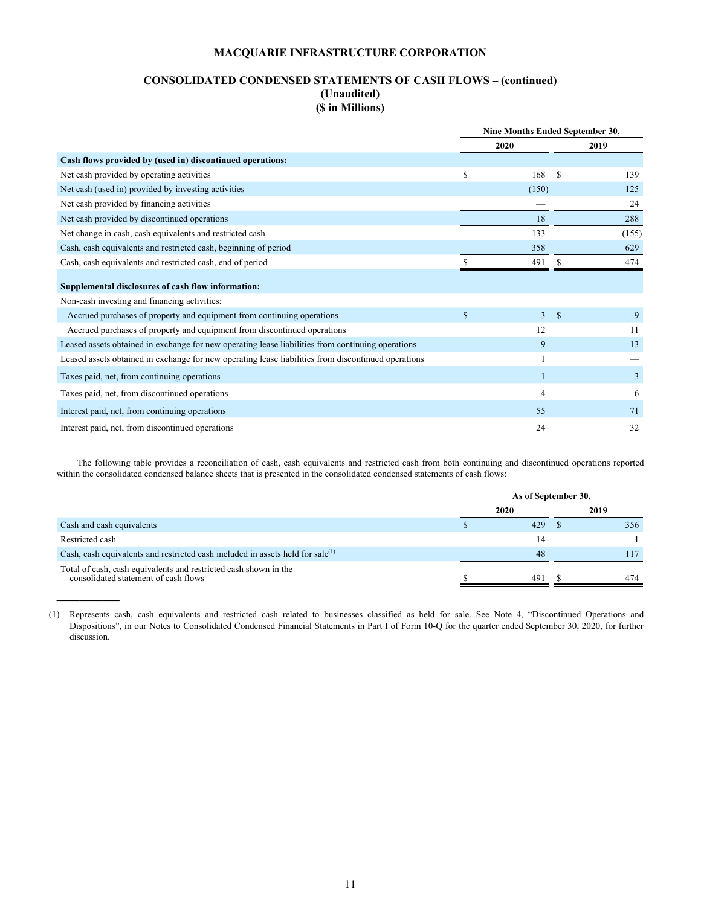## **CONSOLIDATED CONDENSED STATEMENTS OF CASH FLOWS – (continued) (Unaudited) (\$ in Millions)**

|                                                                                                     |              | Nine Months Ended September 30, |              |       |
|-----------------------------------------------------------------------------------------------------|--------------|---------------------------------|--------------|-------|
|                                                                                                     |              | 2020                            |              | 2019  |
| Cash flows provided by (used in) discontinued operations:                                           |              |                                 |              |       |
| Net cash provided by operating activities                                                           | \$           | 168                             | -S           | 139   |
| Net cash (used in) provided by investing activities                                                 |              | (150)                           |              | 125   |
| Net cash provided by financing activities                                                           |              |                                 |              | 24    |
| Net cash provided by discontinued operations                                                        |              | 18                              |              | 288   |
| Net change in cash, cash equivalents and restricted cash                                            |              | 133                             |              | (155) |
| Cash, cash equivalents and restricted cash, beginning of period                                     |              | 358                             |              | 629   |
| Cash, cash equivalents and restricted cash, end of period                                           |              | 491                             |              | 474   |
| Supplemental disclosures of cash flow information:                                                  |              |                                 |              |       |
| Non-cash investing and financing activities:                                                        |              |                                 |              |       |
| Accrued purchases of property and equipment from continuing operations                              | $\mathbb{S}$ | $\overline{3}$                  | $\mathbf{s}$ | 9     |
| Accrued purchases of property and equipment from discontinued operations                            |              | 12                              |              | 11    |
| Leased assets obtained in exchange for new operating lease liabilities from continuing operations   |              | 9                               |              | 13    |
| Leased assets obtained in exchange for new operating lease liabilities from discontinued operations |              |                                 |              |       |
| Taxes paid, net, from continuing operations                                                         |              |                                 |              | 3     |
| Taxes paid, net, from discontinued operations                                                       |              | 4                               |              | 6     |
| Interest paid, net, from continuing operations                                                      |              | 55                              |              | 71    |
| Interest paid, net, from discontinued operations                                                    |              | 24                              |              | 32    |

The following table provides a reconciliation of cash, cash equivalents and restricted cash from both continuing and discontinued operations reported within the consolidated condensed balance sheets that is presented in the consolidated condensed statements of cash flows:

|                                                                                                          | As of September 30, |      |  |      |  |  |
|----------------------------------------------------------------------------------------------------------|---------------------|------|--|------|--|--|
|                                                                                                          |                     | 2020 |  | 2019 |  |  |
| Cash and cash equivalents                                                                                |                     | 429  |  | 356  |  |  |
| Restricted cash                                                                                          |                     | 14   |  |      |  |  |
| Cash, cash equivalents and restricted cash included in assets held for sale <sup>(1)</sup>               |                     | 48   |  | 117  |  |  |
| Total of cash, cash equivalents and restricted cash shown in the<br>consolidated statement of cash flows |                     | 491  |  | 474  |  |  |

<sup>(1)</sup> Represents cash, cash equivalents and restricted cash related to businesses classified as held for sale. See Note 4, "Discontinued Operations and Dispositions", in our Notes to Consolidated Condensed Financial Statements in Part I of Form 10-Q for the quarter ended September 30, 2020, for further discussion.

**\_\_\_\_\_\_\_\_\_\_\_**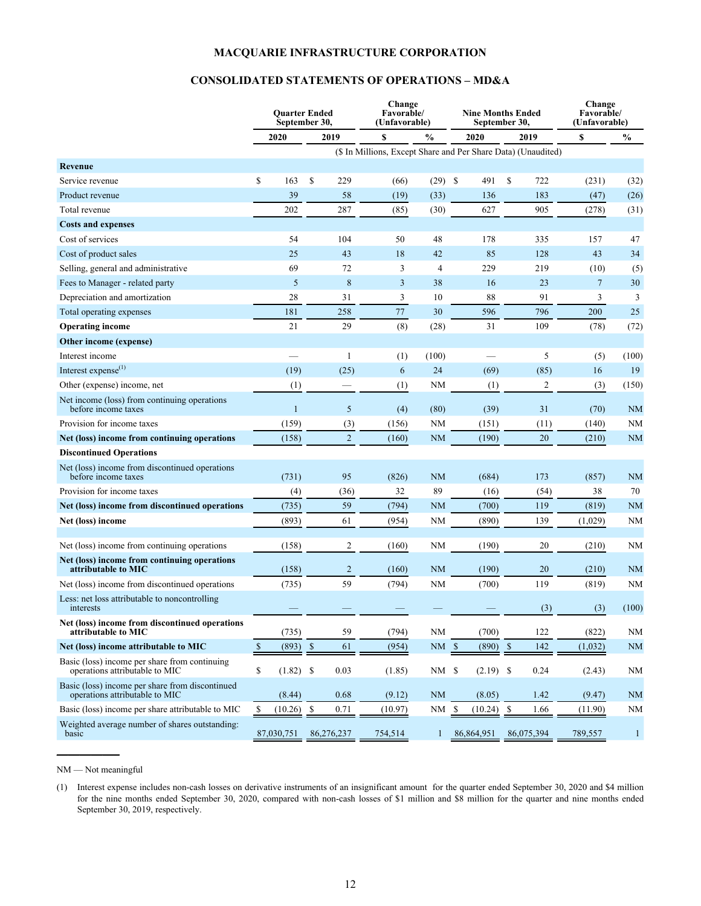## **CONSOLIDATED STATEMENTS OF OPERATIONS – MD&A**

|                                                                                   |                           | <b>Ouarter Ended</b><br>September 30, |                      |                | Change<br>Favorable/<br>(Unfavorable)                         |                | <b>Nine Months Ended</b><br>September 30, |                      |                | Change<br>Favorable/<br>(Unfavorable) |              |
|-----------------------------------------------------------------------------------|---------------------------|---------------------------------------|----------------------|----------------|---------------------------------------------------------------|----------------|-------------------------------------------|----------------------|----------------|---------------------------------------|--------------|
|                                                                                   |                           | 2020                                  |                      | 2019           | $\mathbf S$                                                   | $\frac{0}{0}$  | 2020                                      |                      | 2019           | \$                                    | $\%$         |
|                                                                                   |                           |                                       |                      |                | (\$ In Millions, Except Share and Per Share Data) (Unaudited) |                |                                           |                      |                |                                       |              |
| Revenue                                                                           |                           |                                       |                      |                |                                                               |                |                                           |                      |                |                                       |              |
| Service revenue                                                                   | \$                        | 163                                   | \$                   | 229            | (66)                                                          | $(29)$ \$      | 491                                       | \$                   | 722            | (231)                                 | (32)         |
| Product revenue                                                                   |                           | 39                                    |                      | 58             | (19)                                                          | (33)           | 136                                       |                      | 183            | (47)                                  | (26)         |
| Total revenue                                                                     |                           | 202                                   |                      | 287            | (85)                                                          | (30)           | 627                                       |                      | 905            | (278)                                 | (31)         |
| <b>Costs and expenses</b>                                                         |                           |                                       |                      |                |                                                               |                |                                           |                      |                |                                       |              |
| Cost of services                                                                  |                           | 54                                    |                      | 104            | 50                                                            | 48             | 178                                       |                      | 335            | 157                                   | 47           |
| Cost of product sales                                                             |                           | 25                                    |                      | 43             | 18                                                            | 42             | 85                                        |                      | 128            | 43                                    | 34           |
| Selling, general and administrative                                               |                           | 69                                    |                      | 72             | 3                                                             | $\overline{4}$ | 229                                       |                      | 219            | (10)                                  | (5)          |
| Fees to Manager - related party                                                   |                           | 5                                     |                      | 8              | 3                                                             | 38             | 16                                        |                      | 23             | $\overline{7}$                        | 30           |
| Depreciation and amortization                                                     |                           | 28                                    |                      | 31             | 3                                                             | 10             | 88                                        |                      | 91             | 3                                     | 3            |
| Total operating expenses                                                          |                           | 181                                   |                      | 258            | $77\,$                                                        | 30             | 596                                       |                      | 796            | 200                                   | 25           |
| <b>Operating income</b>                                                           |                           | 21                                    |                      | 29             | (8)                                                           | (28)           | 31                                        |                      | 109            | (78)                                  | (72)         |
| Other income (expense)                                                            |                           |                                       |                      |                |                                                               |                |                                           |                      |                |                                       |              |
| Interest income                                                                   |                           |                                       |                      | 1              | (1)                                                           | (100)          |                                           |                      | 5              | (5)                                   | (100)        |
| Interest expense <sup>(1)</sup>                                                   |                           | (19)                                  |                      | (25)           | 6                                                             | 24             | (69)                                      |                      | (85)           | 16                                    | 19           |
| Other (expense) income, net                                                       |                           | (1)                                   |                      |                | (1)                                                           | <b>NM</b>      | (1)                                       |                      | $\overline{c}$ | (3)                                   | (150)        |
| Net income (loss) from continuing operations<br>before income taxes               |                           | $\mathbf{1}$                          |                      | 5              | (4)                                                           | (80)           | (39)                                      |                      | 31             | (70)                                  | <b>NM</b>    |
| Provision for income taxes                                                        |                           | (159)                                 |                      | (3)            | (156)                                                         | <b>NM</b>      | (151)                                     |                      | (11)           | (140)                                 | <b>NM</b>    |
| Net (loss) income from continuing operations                                      |                           | (158)                                 |                      | $\overline{2}$ | (160)                                                         | <b>NM</b>      | (190)                                     |                      | 20             | (210)                                 | <b>NM</b>    |
| <b>Discontinued Operations</b>                                                    |                           |                                       |                      |                |                                                               |                |                                           |                      |                |                                       |              |
| Net (loss) income from discontinued operations<br>before income taxes             |                           | (731)                                 |                      | 95             | (826)                                                         | <b>NM</b>      | (684)                                     |                      | 173            | (857)                                 | <b>NM</b>    |
| Provision for income taxes                                                        |                           | (4)                                   |                      | (36)           | 32                                                            | 89             | (16)                                      |                      | (54)           | 38                                    | 70           |
| Net (loss) income from discontinued operations                                    |                           | (735)                                 |                      | 59             | (794)                                                         | <b>NM</b>      | (700)                                     |                      | 119            | (819)                                 | <b>NM</b>    |
| Net (loss) income                                                                 |                           | (893)                                 |                      | 61             | (954)                                                         | <b>NM</b>      | (890)                                     |                      | 139            | (1,029)                               | <b>NM</b>    |
| Net (loss) income from continuing operations                                      |                           | (158)                                 |                      | 2              | (160)                                                         | NM             | (190)                                     |                      | 20             | (210)                                 | NM           |
| Net (loss) income from continuing operations<br>attributable to MIC               |                           | (158)                                 |                      | $\overline{2}$ | (160)                                                         | <b>NM</b>      | (190)                                     |                      | 20             | (210)                                 | <b>NM</b>    |
| Net (loss) income from discontinued operations                                    |                           | (735)                                 |                      | 59             | (794)                                                         | <b>NM</b>      | (700)                                     |                      | 119            | (819)                                 | <b>NM</b>    |
| Less: net loss attributable to noncontrolling<br>interests                        |                           |                                       |                      |                |                                                               |                |                                           |                      | (3)            | (3)                                   | (100)        |
| Net (loss) income from discontinued operations<br>attributable to MIC             |                           | (735)                                 |                      | 59             | (794)                                                         | <b>NM</b>      | (700)                                     |                      | 122            | (822)                                 | NM           |
| Net (loss) income attributable to MIC                                             | $\boldsymbol{\mathsf{S}}$ | (893)                                 | $\sqrt{\frac{2}{5}}$ | 61             | (954)                                                         | $NM_{s}$       | (890)                                     | $\sqrt{\frac{1}{2}}$ | 142            | (1,032)                               | <b>NM</b>    |
| Basic (loss) income per share from continuing<br>operations attributable to MIC   | \$                        | (1.82)                                | -S                   | 0.03           | (1.85)                                                        | $NM$ \$        | (2.19)                                    | \$                   | 0.24           | (2.43)                                | NM           |
| Basic (loss) income per share from discontinued<br>operations attributable to MIC |                           | (8.44)                                |                      | 0.68           | (9.12)                                                        | <b>NM</b>      | (8.05)                                    |                      | 1.42           | (9.47)                                | <b>NM</b>    |
| Basic (loss) income per share attributable to MIC                                 | \$                        | (10.26)                               | -S                   | 0.71           | (10.97)                                                       | NM \$          | (10.24)                                   | -S                   | 1.66           | (11.90)                               | <b>NM</b>    |
| Weighted average number of shares outstanding:<br>basic                           |                           | 87,030,751                            |                      | 86,276,237     | 754,514                                                       | 1              | 86,864,951                                |                      | 86,075,394     | 789,557                               | $\mathbf{1}$ |

NM — Not meaningful

**\_\_\_\_\_\_\_\_\_\_\_**

(1) Interest expense includes non-cash losses on derivative instruments of an insignificant amount for the quarter ended September 30, 2020 and \$4 million for the nine months ended September 30, 2020, compared with non-cash losses of \$1 million and \$8 million for the quarter and nine months ended September 30, 2019, respectively.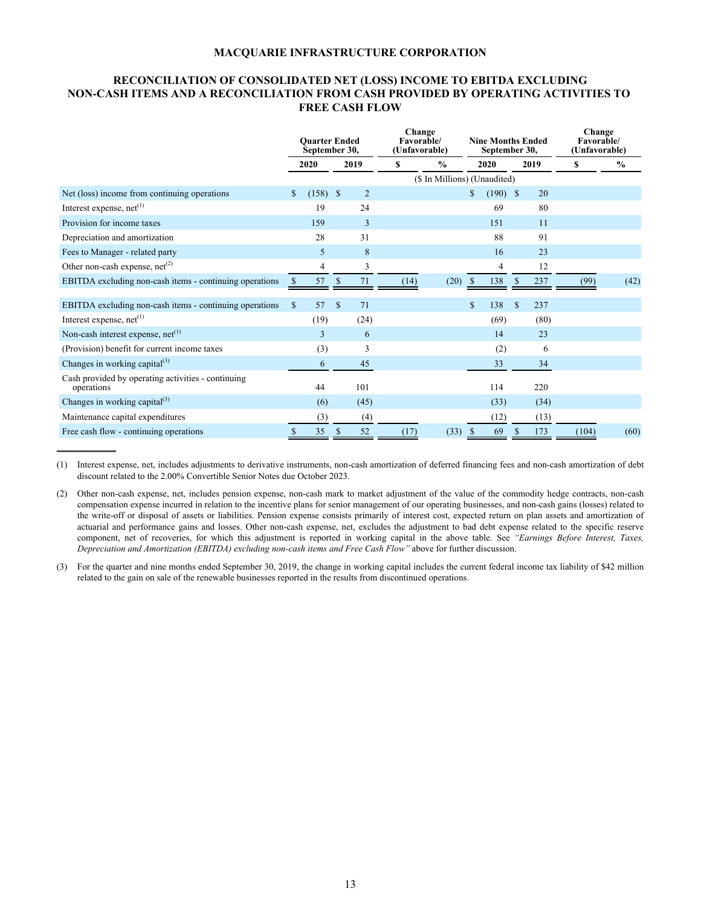## **RECONCILIATION OF CONSOLIDATED NET (LOSS) INCOME TO EBITDA EXCLUDING NON-CASH ITEMS AND A RECONCILIATION FROM CASH PROVIDED BY OPERATING ACTIVITIES TO FREE CASH FLOW**

|                                                                  | <b>Ouarter Ended</b><br>September 30, |            |               |      | Change<br>Favorable/ | (Unfavorable)                |             | <b>Nine Months Ended</b><br>September 30, |               |      | Change<br><b>Favorable/</b><br>(Unfavorable) |      |
|------------------------------------------------------------------|---------------------------------------|------------|---------------|------|----------------------|------------------------------|-------------|-------------------------------------------|---------------|------|----------------------------------------------|------|
|                                                                  |                                       | 2020       |               | 2019 | \$                   | $\frac{6}{9}$                |             | 2020                                      |               | 2019 | \$                                           | $\%$ |
|                                                                  |                                       |            |               |      |                      | (\$ In Millions) (Unaudited) |             |                                           |               |      |                                              |      |
| Net (loss) income from continuing operations                     | S.                                    | $(158)$ \$ |               | 2    |                      |                              | S           | $(190)$ \$                                |               | 20   |                                              |      |
| Interest expense, $net(1)$                                       |                                       | 19         |               | 24   |                      |                              |             | 69                                        |               | 80   |                                              |      |
| Provision for income taxes                                       |                                       | 159        |               | 3    |                      |                              |             | 151                                       |               | 11   |                                              |      |
| Depreciation and amortization                                    |                                       | 28         |               | 31   |                      |                              |             | 88                                        |               | 91   |                                              |      |
| Fees to Manager - related party                                  |                                       | 5          |               | 8    |                      |                              |             | 16                                        |               | 23   |                                              |      |
| Other non-cash expense, $net^{(2)}$                              |                                       | 4          |               | 3    |                      |                              |             | 4                                         |               | 12   |                                              |      |
| EBITDA excluding non-cash items - continuing operations          |                                       | 57         | S             | 71   | (14)                 | (20)                         | \$          | 138                                       |               | 237  | (99)                                         | (42) |
| EBITDA excluding non-cash items - continuing operations          | \$                                    | 57         | <sup>\$</sup> | 71   |                      |                              | $\mathbf S$ | 138                                       | <sup>\$</sup> | 237  |                                              |      |
| Interest expense, $net^{(1)}$                                    |                                       | (19)       |               | (24) |                      |                              |             | (69)                                      |               | (80) |                                              |      |
| Non-cash interest expense, $net^{(1)}$                           |                                       | 3          |               | 6    |                      |                              |             | 14                                        |               | 23   |                                              |      |
| (Provision) benefit for current income taxes                     |                                       | (3)        |               | 3    |                      |                              |             | (2)                                       |               | 6    |                                              |      |
| Changes in working capital $^{(3)}$                              |                                       | 6          |               | 45   |                      |                              |             | 33                                        |               | 34   |                                              |      |
| Cash provided by operating activities - continuing<br>operations |                                       | 44         |               | 101  |                      |                              |             | 114                                       |               | 220  |                                              |      |
| Changes in working capital $^{(3)}$                              |                                       | (6)        |               | (45) |                      |                              |             | (33)                                      |               | (34) |                                              |      |
| Maintenance capital expenditures                                 |                                       | (3)        |               | (4)  |                      |                              |             | (12)                                      |               | (13) |                                              |      |
| Free cash flow - continuing operations                           |                                       | 35         | -\$           | 52   | (17)                 | (33)                         | \$          | 69                                        | S             | 173  | (104)                                        | (60) |

(1) Interest expense, net, includes adjustments to derivative instruments, non-cash amortization of deferred financing fees and non-cash amortization of debt discount related to the 2.00% Convertible Senior Notes due October 2023.

**\_\_\_\_\_\_\_\_\_\_\_\_\_**

(2) Other non-cash expense, net, includes pension expense, non-cash mark to market adjustment of the value of the commodity hedge contracts, non-cash compensation expense incurred in relation to the incentive plans for senior management of our operating businesses, and non-cash gains (losses) related to the write-off or disposal of assets or liabilities. Pension expense consists primarily of interest cost, expected return on plan assets and amortization of actuarial and performance gains and losses. Other non-cash expense, net, excludes the adjustment to bad debt expense related to the specific reserve component, net of recoveries, for which this adjustment is reported in working capital in the above table. See *"Earnings Before Interest, Taxes, Depreciation and Amortization (EBITDA) excluding non-cash items and Free Cash Flow"* above for further discussion.

(3) For the quarter and nine months ended September 30, 2019, the change in working capital includes the current federal income tax liability of \$42 million related to the gain on sale of the renewable businesses reported in the results from discontinued operations.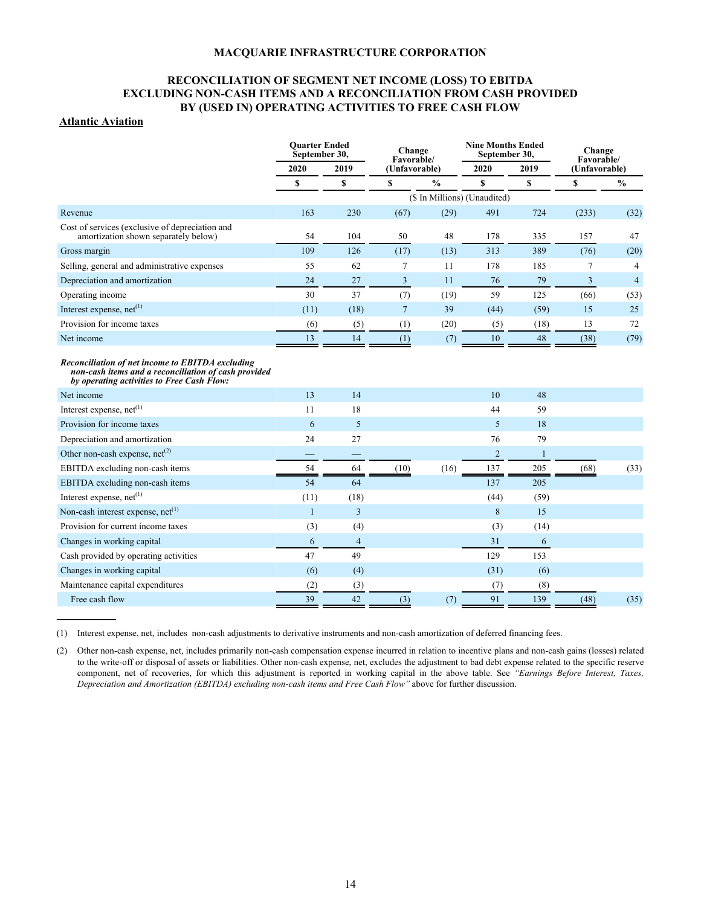## **RECONCILIATION OF SEGMENT NET INCOME (LOSS) TO EBITDA EXCLUDING NON-CASH ITEMS AND A RECONCILIATION FROM CASH PROVIDED BY (USED IN) OPERATING ACTIVITIES TO FREE CASH FLOW**

## **Atlantic Aviation**

 $\mathcal{L}$ 

|                                                                                                                                                        | <b>Ouarter Ended</b><br>September 30, |                | Change<br>Favorable/ |               | <b>Nine Months Ended</b><br>September 30, |              | Change<br>Favorable/ |                |  |
|--------------------------------------------------------------------------------------------------------------------------------------------------------|---------------------------------------|----------------|----------------------|---------------|-------------------------------------------|--------------|----------------------|----------------|--|
|                                                                                                                                                        | 2020                                  | 2019           | (Unfavorable)        |               | 2020                                      | 2019         | (Unfavorable)        |                |  |
|                                                                                                                                                        | \$                                    | \$             | \$                   | $\frac{0}{0}$ | S                                         | \$           | \$                   | $\frac{0}{0}$  |  |
|                                                                                                                                                        |                                       |                |                      |               | (\$ In Millions) (Unaudited)              |              |                      |                |  |
| Revenue                                                                                                                                                | 163                                   | 230            | (67)                 | (29)          | 491                                       | 724          | (233)                | (32)           |  |
| Cost of services (exclusive of depreciation and<br>amortization shown separately below)                                                                | 54                                    | 104            | 50                   | 48            | 178                                       | 335          | 157                  | 47             |  |
| Gross margin                                                                                                                                           | 109                                   | 126            | (17)                 | (13)          | 313                                       | 389          | (76)                 | (20)           |  |
| Selling, general and administrative expenses                                                                                                           | 55                                    | 62             | $\tau$               | 11            | 178                                       | 185          | 7                    | $\overline{4}$ |  |
| Depreciation and amortization                                                                                                                          | 24                                    | 27             | $\overline{3}$       | 11            | 76                                        | 79           | $\overline{3}$       | $\overline{4}$ |  |
| Operating income                                                                                                                                       | 30                                    | 37             | (7)                  | (19)          | 59                                        | 125          | (66)                 | (53)           |  |
| Interest expense, net <sup>(1)</sup>                                                                                                                   | (11)                                  | (18)           | $7\overline{ }$      | 39            | (44)                                      | (59)         | 15                   | 25             |  |
| Provision for income taxes                                                                                                                             | (6)                                   | (5)            | (1)                  | (20)          | (5)                                       | (18)         | 13                   | 72             |  |
| Net income                                                                                                                                             | 13                                    | 14             | (1)                  | (7)           | 10                                        | 48           | (38)                 | (79)           |  |
| Reconciliation of net income to EBITDA excluding<br>non-cash items and a reconciliation of cash provided<br>by operating activities to Free Cash Flow: |                                       |                |                      |               |                                           |              |                      |                |  |
| Net income                                                                                                                                             | 13                                    | 14             |                      |               | 10                                        | 48           |                      |                |  |
| Interest expense, net <sup>(1)</sup>                                                                                                                   | 11                                    | 18             |                      |               | 44                                        | 59           |                      |                |  |
| Provision for income taxes                                                                                                                             | 6                                     | 5              |                      |               | 5                                         | 18           |                      |                |  |
| Depreciation and amortization                                                                                                                          | 24                                    | 27             |                      |               | 76                                        | 79           |                      |                |  |
| Other non-cash expense, $net^{(2)}$                                                                                                                    |                                       |                |                      |               | $\overline{2}$                            | $\mathbf{1}$ |                      |                |  |
| EBITDA excluding non-cash items                                                                                                                        | 54                                    | 64             | (10)                 | (16)          | 137                                       | 205          | (68)                 | (33)           |  |
| EBITDA excluding non-cash items                                                                                                                        | 54                                    | 64             |                      |               | 137                                       | 205          |                      |                |  |
| Interest expense, $net(1)$                                                                                                                             | (11)                                  | (18)           |                      |               | (44)                                      | (59)         |                      |                |  |
| Non-cash interest expense, net <sup>(1)</sup>                                                                                                          | $\mathbf{1}$                          | 3              |                      |               | 8                                         | 15           |                      |                |  |
| Provision for current income taxes                                                                                                                     | (3)                                   | (4)            |                      |               | (3)                                       | (14)         |                      |                |  |
| Changes in working capital                                                                                                                             | 6                                     | $\overline{4}$ |                      |               | 31                                        | 6            |                      |                |  |
| Cash provided by operating activities                                                                                                                  | 47                                    | 49             |                      |               | 129                                       | 153          |                      |                |  |
| Changes in working capital                                                                                                                             | (6)                                   | (4)            |                      |               | (31)                                      | (6)          |                      |                |  |
| Maintenance capital expenditures                                                                                                                       | (2)                                   | (3)            |                      |               | (7)                                       | (8)          |                      |                |  |
| Free cash flow                                                                                                                                         | 39                                    | 42             | (3)                  | (7)           | 91                                        | 139          | (48)                 | (35)           |  |

(1) Interest expense, net, includes non-cash adjustments to derivative instruments and non-cash amortization of deferred financing fees.

(2) Other non-cash expense, net, includes primarily non-cash compensation expense incurred in relation to incentive plans and non-cash gains (losses) related to the write-off or disposal of assets or liabilities. Other non-cash expense, net, excludes the adjustment to bad debt expense related to the specific reserve component, net of recoveries, for which this adjustment is reported in working capital in the above table. See *"Earnings Before Interest, Taxes, Depreciation and Amortization (EBITDA) excluding non-cash items and Free Cash Flow"* above for further discussion.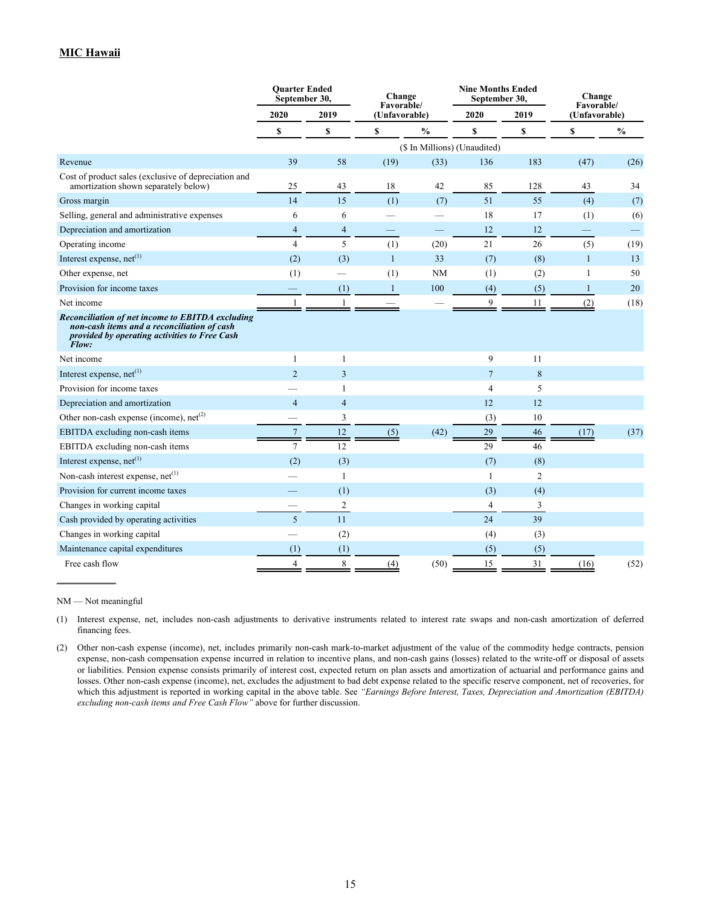|                                                                                                                                                           | <b>Ouarter Ended</b><br>September 30, |                | Change<br>Favorable/ |               | <b>Nine Months Ended</b><br>September 30, |                | Change<br>Favorable/     |               |
|-----------------------------------------------------------------------------------------------------------------------------------------------------------|---------------------------------------|----------------|----------------------|---------------|-------------------------------------------|----------------|--------------------------|---------------|
|                                                                                                                                                           | 2020                                  | 2019           | (Unfavorable)        |               | 2020                                      | 2019           | (Unfavorable)            |               |
|                                                                                                                                                           | \$                                    | \$             | $\mathbf S$          | $\frac{0}{0}$ | \$                                        | \$             | \$                       | $\frac{0}{0}$ |
|                                                                                                                                                           |                                       |                |                      |               | (\$ In Millions) (Unaudited)              |                |                          |               |
| Revenue                                                                                                                                                   | 39                                    | 58             | (19)                 | (33)          | 136                                       | 183            | (47)                     | (26)          |
| Cost of product sales (exclusive of depreciation and<br>amortization shown separately below)                                                              | 25                                    | 43             | 18                   | 42            | 85                                        | 128            | 43                       | 34            |
| Gross margin                                                                                                                                              | 14                                    | 15             | (1)                  | (7)           | 51                                        | 55             | (4)                      | (7)           |
| Selling, general and administrative expenses                                                                                                              | 6                                     | 6              |                      |               | 18                                        | 17             | (1)                      | (6)           |
| Depreciation and amortization                                                                                                                             | 4                                     | $\overline{4}$ |                      |               | 12                                        | 12             | $\overline{\phantom{0}}$ |               |
| Operating income                                                                                                                                          | $\overline{4}$                        | 5              | (1)                  | (20)          | 21                                        | 26             | (5)                      | (19)          |
| Interest expense, net <sup>(1)</sup>                                                                                                                      | (2)                                   | (3)            | $\mathbf{1}$         | 33            | (7)                                       | (8)            | 1                        | 13            |
| Other expense, net                                                                                                                                        | (1)                                   |                | (1)                  | <b>NM</b>     | (1)                                       | (2)            | $\mathbf{1}$             | 50            |
| Provision for income taxes                                                                                                                                |                                       | (1)            | $\mathbf{1}$         | 100           | (4)                                       | (5)            | $\mathbf{1}$             | 20            |
| Net income                                                                                                                                                | 1                                     | $\mathbf{1}$   |                      |               | 9                                         | 11             | (2)                      | (18)          |
| Reconciliation of net income to EBITDA excluding<br>non-cash items and a reconciliation of cash<br>provided by operating activities to Free Cash<br>Flow: |                                       |                |                      |               |                                           |                |                          |               |
| Net income                                                                                                                                                | 1                                     | 1              |                      |               | 9                                         | 11             |                          |               |
| Interest expense, net <sup>(1)</sup>                                                                                                                      | $\overline{2}$                        | 3              |                      |               | $\overline{7}$                            | 8              |                          |               |
| Provision for income taxes                                                                                                                                |                                       | 1              |                      |               | $\overline{4}$                            | 5              |                          |               |
| Depreciation and amortization                                                                                                                             | $\overline{4}$                        | $\overline{4}$ |                      |               | 12                                        | 12             |                          |               |
| Other non-cash expense (income), $net^{(2)}$                                                                                                              |                                       | 3              |                      |               | (3)                                       | 10             |                          |               |
| EBITDA excluding non-cash items                                                                                                                           | $\overline{7}$                        | $12\,$         | (5)                  | (42)          | 29                                        | 46             | (17)                     | (37)          |
| EBITDA excluding non-cash items                                                                                                                           | $\overline{7}$                        | 12             |                      |               | 29                                        | 46             |                          |               |
| Interest expense, $net(1)$                                                                                                                                | (2)                                   | (3)            |                      |               | (7)                                       | (8)            |                          |               |
| Non-cash interest expense, $net^{(1)}$                                                                                                                    |                                       | 1              |                      |               | $\mathbf{1}$                              | $\overline{c}$ |                          |               |
| Provision for current income taxes                                                                                                                        |                                       | (1)            |                      |               | (3)                                       | (4)            |                          |               |
| Changes in working capital                                                                                                                                |                                       | 2              |                      |               | 4                                         | 3              |                          |               |
| Cash provided by operating activities                                                                                                                     | 5                                     | 11             |                      |               | 24                                        | 39             |                          |               |
| Changes in working capital                                                                                                                                |                                       | (2)            |                      |               | (4)                                       | (3)            |                          |               |
| Maintenance capital expenditures                                                                                                                          | (1)                                   | (1)            |                      |               | (5)                                       | (5)            |                          |               |
| Free cash flow                                                                                                                                            | $\overline{4}$                        | 8              | (4)                  | (50)          | 15                                        | 31             | (16)                     | (52)          |

NM — Not meaningful

 $\mathcal{L}$ 

(1) Interest expense, net, includes non-cash adjustments to derivative instruments related to interest rate swaps and non-cash amortization of deferred financing fees.

(2) Other non-cash expense (income), net, includes primarily non-cash mark-to-market adjustment of the value of the commodity hedge contracts, pension expense, non-cash compensation expense incurred in relation to incentive plans, and non-cash gains (losses) related to the write-off or disposal of assets or liabilities. Pension expense consists primarily of interest cost, expected return on plan assets and amortization of actuarial and performance gains and losses. Other non-cash expense (income), net, excludes the adjustment to bad debt expense related to the specific reserve component, net of recoveries, for which this adjustment is reported in working capital in the above table. See "Earnings Before Interest, Taxes, Depreciation and Amortization (EBITDA) *excluding non-cash items and Free Cash Flow"* above for further discussion.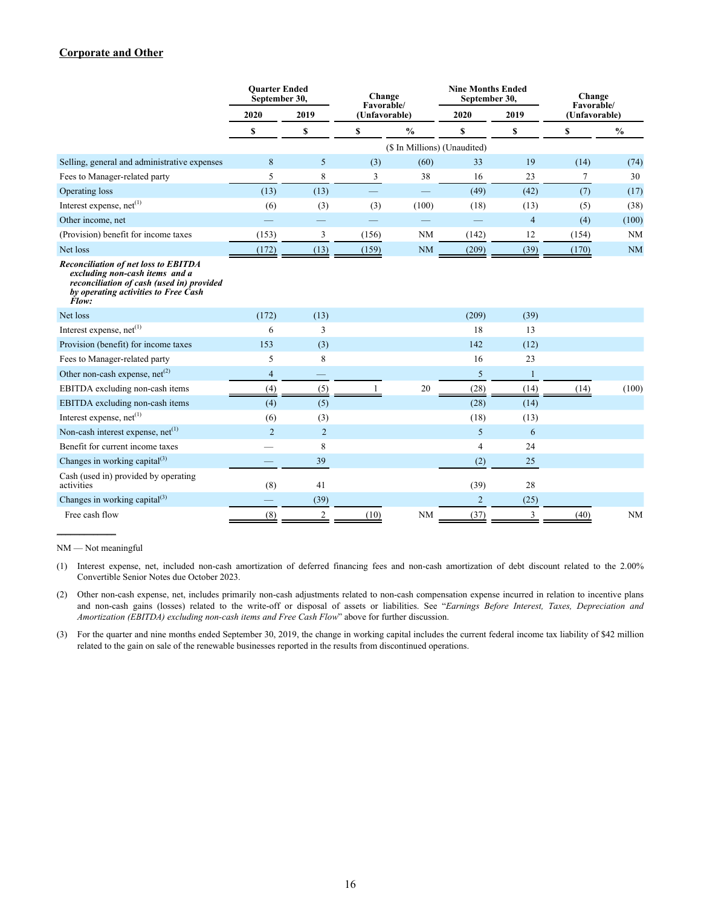#### **Corporate and Other**

|                                                                                                                                                                             | <b>Ouarter Ended</b><br>September 30, |                | Change<br>Favorable/ |                              | <b>Nine Months Ended</b><br>September 30, |                | Change<br>Favorable/ |               |
|-----------------------------------------------------------------------------------------------------------------------------------------------------------------------------|---------------------------------------|----------------|----------------------|------------------------------|-------------------------------------------|----------------|----------------------|---------------|
|                                                                                                                                                                             | 2020                                  | 2019           | (Unfavorable)        |                              | 2020                                      | 2019           |                      | (Unfavorable) |
|                                                                                                                                                                             | \$                                    | \$             | \$                   | $\frac{0}{0}$                | \$                                        | \$             | \$                   | $\frac{0}{0}$ |
|                                                                                                                                                                             |                                       |                |                      | (\$ In Millions) (Unaudited) |                                           |                |                      |               |
| Selling, general and administrative expenses                                                                                                                                | 8                                     | 5              | (3)                  | (60)                         | 33                                        | 19             | (14)                 | (74)          |
| Fees to Manager-related party                                                                                                                                               | 5                                     | 8              | 3                    | 38                           | 16                                        | 23             | $\tau$               | 30            |
| Operating loss                                                                                                                                                              | (13)                                  | (13)           |                      | $\overline{\phantom{0}}$     | (49)                                      | (42)           | (7)                  | (17)          |
| Interest expense, net <sup>(1)</sup>                                                                                                                                        | (6)                                   | (3)            | (3)                  | (100)                        | (18)                                      | (13)           | (5)                  | (38)          |
| Other income, net                                                                                                                                                           |                                       |                |                      |                              |                                           | $\overline{4}$ | (4)                  | (100)         |
| (Provision) benefit for income taxes                                                                                                                                        | (153)                                 | 3              | (156)                | <b>NM</b>                    | (142)                                     | 12             | (154)                | NM            |
| Net loss                                                                                                                                                                    | (172)                                 | (13)           | (159)                | <b>NM</b>                    | (209)                                     | (39)           | (170)                | <b>NM</b>     |
| <b>Reconciliation of net loss to EBITDA</b><br>excluding non-cash items and a<br>reconciliation of cash (used in) provided<br>by operating activities to Free Cash<br>Flow: |                                       |                |                      |                              |                                           |                |                      |               |
| Net loss                                                                                                                                                                    | (172)                                 | (13)           |                      |                              | (209)                                     | (39)           |                      |               |
| Interest expense, $net(1)$                                                                                                                                                  | 6                                     | 3              |                      |                              | 18                                        | 13             |                      |               |
| Provision (benefit) for income taxes                                                                                                                                        | 153                                   | (3)            |                      |                              | 142                                       | (12)           |                      |               |
| Fees to Manager-related party                                                                                                                                               | 5                                     | 8              |                      |                              | 16                                        | 23             |                      |               |
| Other non-cash expense, $net^{(2)}$                                                                                                                                         | 4                                     |                |                      |                              | 5                                         | $\mathbf{1}$   |                      |               |
| EBITDA excluding non-cash items                                                                                                                                             | (4)                                   | (5)            |                      | 20                           | (28)                                      | (14)           | (14)                 | (100)         |
| EBITDA excluding non-cash items                                                                                                                                             | (4)                                   | (5)            |                      |                              | (28)                                      | (14)           |                      |               |
| Interest expense, $net(1)$                                                                                                                                                  | (6)                                   | (3)            |                      |                              | (18)                                      | (13)           |                      |               |
| Non-cash interest expense, $net(1)$                                                                                                                                         | $\overline{2}$                        | $\overline{2}$ |                      |                              | 5                                         | 6              |                      |               |
| Benefit for current income taxes                                                                                                                                            |                                       | 8              |                      |                              | $\overline{4}$                            | 24             |                      |               |
| Changes in working capital $^{(3)}$                                                                                                                                         |                                       | 39             |                      |                              | (2)                                       | 25             |                      |               |
| Cash (used in) provided by operating<br>activities                                                                                                                          | (8)                                   | 41             |                      |                              | (39)                                      | 28             |                      |               |
| Changes in working capital $^{(3)}$                                                                                                                                         |                                       | (39)           |                      |                              | 2                                         | (25)           |                      |               |
| Free cash flow                                                                                                                                                              | (8)                                   | $\overline{2}$ | (10)                 | <b>NM</b>                    | (37)                                      | 3              | (40)                 | <b>NM</b>     |

NM — Not meaningful

 $\mathcal{L}$ 

(1) Interest expense, net, included non-cash amortization of deferred financing fees and non-cash amortization of debt discount related to the 2.00% Convertible Senior Notes due October 2023.

(2) Other non-cash expense, net, includes primarily non-cash adjustments related to non-cash compensation expense incurred in relation to incentive plans and non-cash gains (losses) related to the write-off or disposal of assets or liabilities. See "*Earnings Before Interest, Taxes, Depreciation and Amortization (EBITDA) excluding non-cash items and Free Cash Flow*" above for further discussion.

(3) For the quarter and nine months ended September 30, 2019, the change in working capital includes the current federal income tax liability of \$42 million related to the gain on sale of the renewable businesses reported in the results from discontinued operations.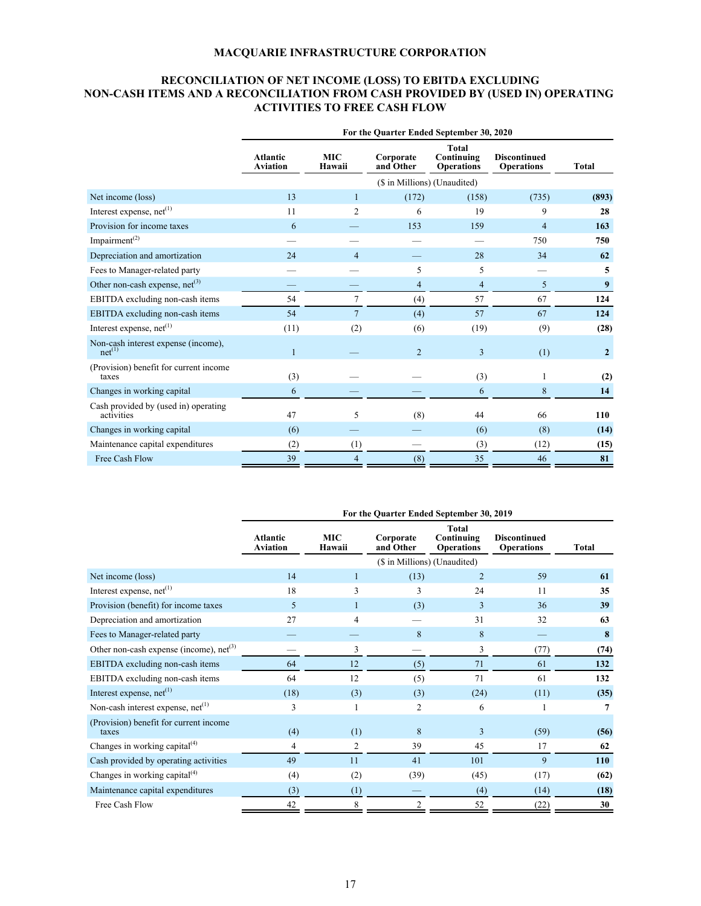# **RECONCILIATION OF NET INCOME (LOSS) TO EBITDA EXCLUDING NON-CASH ITEMS AND A RECONCILIATION FROM CASH PROVIDED BY (USED IN) OPERATING ACTIVITIES TO FREE CASH FLOW**

|                                                           | For the Quarter Ended September 30, 2020 |                      |                              |                                          |                                          |                |  |
|-----------------------------------------------------------|------------------------------------------|----------------------|------------------------------|------------------------------------------|------------------------------------------|----------------|--|
|                                                           | <b>Atlantic</b><br><b>Aviation</b>       | <b>MIC</b><br>Hawaii | Corporate<br>and Other       | Total<br>Continuing<br><b>Operations</b> | <b>Discontinued</b><br><b>Operations</b> | <b>Total</b>   |  |
|                                                           |                                          |                      | (\$ in Millions) (Unaudited) |                                          |                                          |                |  |
| Net income (loss)                                         | 13                                       | 1                    | (172)                        | (158)                                    | (735)                                    | (893)          |  |
| Interest expense, net <sup>(1)</sup>                      | 11                                       | 2                    | 6                            | 19                                       | 9                                        | 28             |  |
| Provision for income taxes                                | 6                                        |                      | 153                          | 159                                      | $\overline{4}$                           | 163            |  |
| Impairment <sup>(2)</sup>                                 |                                          |                      |                              |                                          | 750                                      | 750            |  |
| Depreciation and amortization                             | 24                                       | $\overline{4}$       |                              | 28                                       | 34                                       | 62             |  |
| Fees to Manager-related party                             |                                          |                      | 5                            | 5                                        |                                          | 5              |  |
| Other non-cash expense, $net(3)$                          |                                          |                      | $\overline{4}$               | $\overline{\mathcal{L}}$                 | 5                                        | 9              |  |
| EBITDA excluding non-cash items                           | 54                                       | 7                    | (4)                          | 57                                       | 67                                       | 124            |  |
| EBITDA excluding non-cash items                           | 54                                       | $\overline{7}$       | (4)                          | 57                                       | 67                                       | 124            |  |
| Interest expense, net <sup>(1)</sup>                      | (11)                                     | (2)                  | (6)                          | (19)                                     | (9)                                      | (28)           |  |
| Non-cash interest expense (income),<br>net <sup>(1)</sup> |                                          |                      | $\overline{2}$               | 3                                        | (1)                                      | $\overline{2}$ |  |
| (Provision) benefit for current income<br>taxes           | (3)                                      |                      |                              | (3)                                      |                                          | (2)            |  |
| Changes in working capital                                | 6                                        |                      |                              | 6                                        | 8                                        | 14             |  |
| Cash provided by (used in) operating<br>activities        | 47                                       | 5                    | (8)                          | 44                                       | 66                                       | 110            |  |
| Changes in working capital                                | (6)                                      |                      |                              | (6)                                      | (8)                                      | (14)           |  |
| Maintenance capital expenditures                          | (2)                                      | (1)                  |                              | (3)                                      | (12)                                     | (15)           |  |
| Free Cash Flow                                            | 39                                       | 4                    | (8)                          | 35                                       | 46                                       | 81             |  |

|                                                 | For the Quarter Ended September 30, 2019 |                      |                              |                                          |                                          |              |  |
|-------------------------------------------------|------------------------------------------|----------------------|------------------------------|------------------------------------------|------------------------------------------|--------------|--|
|                                                 | <b>Atlantic</b><br><b>Aviation</b>       | <b>MIC</b><br>Hawaii | Corporate<br>and Other       | Total<br>Continuing<br><b>Operations</b> | <b>Discontinued</b><br><b>Operations</b> | <b>Total</b> |  |
|                                                 |                                          |                      | (\$ in Millions) (Unaudited) |                                          |                                          |              |  |
| Net income (loss)                               | 14                                       |                      | (13)                         | $\overline{2}$                           | 59                                       | 61           |  |
| Interest expense, $net(1)$                      | 18                                       | 3                    | 3                            | 24                                       | 11                                       | 35           |  |
| Provision (benefit) for income taxes            | 5                                        |                      | (3)                          | 3                                        | 36                                       | 39           |  |
| Depreciation and amortization                   | 27                                       | 4                    |                              | 31                                       | 32                                       | 63           |  |
| Fees to Manager-related party                   |                                          |                      | 8                            | 8                                        |                                          | 8            |  |
| Other non-cash expense (income), $net^{(3)}$    |                                          | 3                    |                              | 3                                        | (77)                                     | (74)         |  |
| EBITDA excluding non-cash items                 | 64                                       | 12                   | (5)                          | 71                                       | 61                                       | 132          |  |
| EBITDA excluding non-cash items                 | 64                                       | 12                   | (5)                          | 71                                       | 61                                       | 132          |  |
| Interest expense, $net(1)$                      | (18)                                     | (3)                  | (3)                          | (24)                                     | (11)                                     | (35)         |  |
| Non-cash interest expense, net <sup>(1)</sup>   | 3                                        |                      | 2                            | 6                                        |                                          |              |  |
| (Provision) benefit for current income<br>taxes | (4)                                      | (1)                  | 8                            | 3                                        | (59)                                     | (56)         |  |
| Changes in working capital $(4)$                | 4                                        | 2                    | 39                           | 45                                       | 17                                       | 62           |  |
| Cash provided by operating activities           | 49                                       | 11                   | 41                           | 101                                      | 9                                        | <b>110</b>   |  |
| Changes in working capital $(4)$                | (4)                                      | (2)                  | (39)                         | (45)                                     | (17)                                     | (62)         |  |
| Maintenance capital expenditures                | (3)                                      | (1)                  |                              | (4)                                      | (14)                                     | (18)         |  |
| Free Cash Flow                                  | 42                                       | 8                    | $\overline{2}$               | 52                                       | (22)                                     | 30           |  |